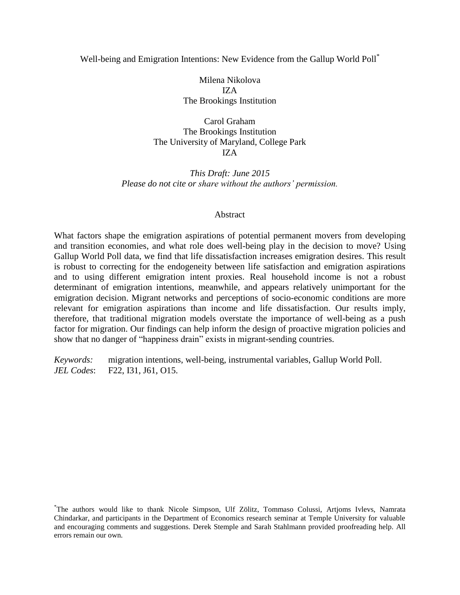### Well-being and Emigration Intentions: New Evidence from the Gallup World Poll<sup>\*</sup>

Milena Nikolova IZA The Brookings Institution

Carol Graham The Brookings Institution The University of Maryland, College Park IZA

*This Draft: June 2015 Please do not cite or share without the authors' permission.*

#### Abstract

What factors shape the emigration aspirations of potential permanent movers from developing and transition economies, and what role does well-being play in the decision to move? Using Gallup World Poll data, we find that life dissatisfaction increases emigration desires. This result is robust to correcting for the endogeneity between life satisfaction and emigration aspirations and to using different emigration intent proxies. Real household income is not a robust determinant of emigration intentions, meanwhile, and appears relatively unimportant for the emigration decision. Migrant networks and perceptions of socio-economic conditions are more relevant for emigration aspirations than income and life dissatisfaction. Our results imply, therefore, that traditional migration models overstate the importance of well-being as a push factor for migration. Our findings can help inform the design of proactive migration policies and show that no danger of "happiness drain" exists in migrant-sending countries.

*Keywords:* migration intentions, well-being, instrumental variables, Gallup World Poll. *JEL Codes*: F22, I31, J61, O15.

<sup>\*</sup>The authors would like to thank Nicole Simpson, Ulf Zölitz, Tommaso Colussi, Artjoms Ivlevs, Namrata Chindarkar, and participants in the Department of Economics research seminar at Temple University for valuable and encouraging comments and suggestions. Derek Stemple and Sarah Stahlmann provided proofreading help. All errors remain our own.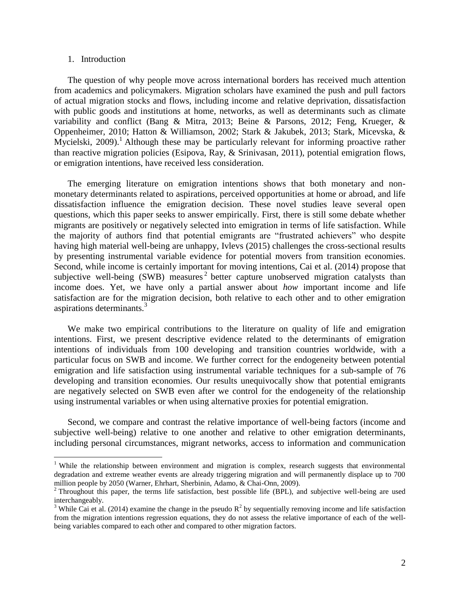#### 1. Introduction

 $\overline{a}$ 

The question of why people move across international borders has received much attention from academics and policymakers. Migration scholars have examined the push and pull factors of actual migration stocks and flows, including income and relative deprivation, dissatisfaction with public goods and institutions at home, networks, as well as determinants such as climate variability and conflict [\(Bang & Mitra, 2013;](#page-14-0) [Beine & Parsons, 2012;](#page-14-1) [Feng, Krueger, &](#page-14-2)  [Oppenheimer, 2010;](#page-14-2) [Hatton & Williamson, 2002;](#page-15-0) [Stark & Jakubek, 2013;](#page-16-0) [Stark, Micevska, &](#page-16-1)  [Mycielski, 2009\)](#page-16-1).<sup>1</sup> Although these may be particularly relevant for informing proactive rather than reactive migration policies [\(Esipova, Ray, & Srinivasan, 2011\)](#page-14-3), potential emigration flows, or emigration intentions, have received less consideration.

The emerging literature on emigration intentions shows that both monetary and nonmonetary determinants related to aspirations, perceived opportunities at home or abroad, and life dissatisfaction influence the emigration decision. These novel studies leave several open questions, which this paper seeks to answer empirically. First, there is still some debate whether migrants are positively or negatively selected into emigration in terms of life satisfaction. While the majority of authors find that potential emigrants are "frustrated achievers" who despite having high material well-being are unhappy, Ivlevs (2015) challenges the cross-sectional results by presenting instrumental variable evidence for potential movers from transition economies. Second, while income is certainly important for moving intentions, Cai et al. (2014) propose that subjective well-being  $(SWB)$  measures<sup>2</sup> better capture unobserved migration catalysts than income does. Yet, we have only a partial answer about *how* important income and life satisfaction are for the migration decision, both relative to each other and to other emigration aspirations determinants.<sup>3</sup>

We make two empirical contributions to the literature on quality of life and emigration intentions. First, we present descriptive evidence related to the determinants of emigration intentions of individuals from 100 developing and transition countries worldwide, with a particular focus on SWB and income. We further correct for the endogeneity between potential emigration and life satisfaction using instrumental variable techniques for a sub-sample of 76 developing and transition economies. Our results unequivocally show that potential emigrants are negatively selected on SWB even after we control for the endogeneity of the relationship using instrumental variables or when using alternative proxies for potential emigration.

Second, we compare and contrast the relative importance of well-being factors (income and subjective well-being) relative to one another and relative to other emigration determinants, including personal circumstances, migrant networks, access to information and communication

<sup>&</sup>lt;sup>1</sup> While the relationship between environment and migration is complex, research suggests that environmental degradation and extreme weather events are already triggering migration and will permanently displace up to 700 million people by 2050 [\(Warner, Ehrhart, Sherbinin, Adamo, & Chai-Onn, 2009\)](#page-16-2).

 $2$  Throughout this paper, the terms life satisfaction, best possible life (BPL), and subjective well-being are used interchangeably.

<sup>&</sup>lt;sup>3</sup> While Cai et al. (2014) examine the change in the pseudo  $R^2$  by sequentially removing income and life satisfaction from the migration intentions regression equations, they do not assess the relative importance of each of the wellbeing variables compared to each other and compared to other migration factors.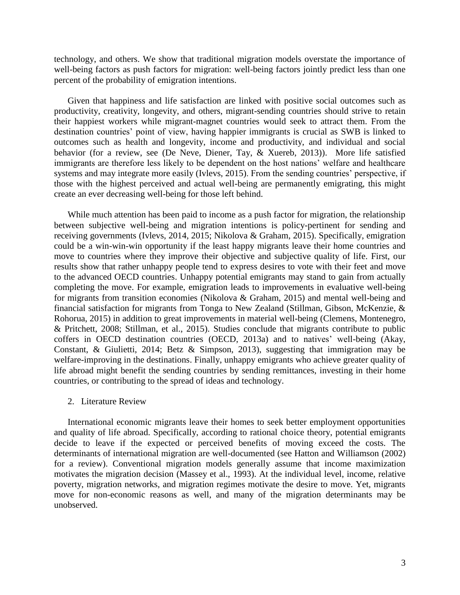technology, and others. We show that traditional migration models overstate the importance of well-being factors as push factors for migration: well-being factors jointly predict less than one percent of the probability of emigration intentions.

Given that happiness and life satisfaction are linked with positive social outcomes such as productivity, creativity, longevity, and others, migrant-sending countries should strive to retain their happiest workers while migrant-magnet countries would seek to attract them. From the destination countries' point of view, having happier immigrants is crucial as SWB is linked to outcomes such as health and longevity, income and productivity, and individual and social behavior (for a review, see [\(De Neve, Diener, Tay, & Xuereb, 2013\)](#page-14-4)). More life satisfied immigrants are therefore less likely to be dependent on the host nations' welfare and healthcare systems and may integrate more easily [\(Ivlevs, 2015\)](#page-15-1). From the sending countries' perspective, if those with the highest perceived and actual well-being are permanently emigrating, this might create an ever decreasing well-being for those left behind.

While much attention has been paid to income as a push factor for migration, the relationship between subjective well-being and migration intentions is policy-pertinent for sending and receiving governments [\(Ivlevs, 2014,](#page-15-2) [2015;](#page-15-1) Nikolova & Graham, 2015). Specifically, emigration could be a win-win-win opportunity if the least happy migrants leave their home countries and move to countries where they improve their objective and subjective quality of life. First, our results show that rather unhappy people tend to express desires to vote with their feet and move to the advanced OECD countries. Unhappy potential emigrants may stand to gain from actually completing the move. For example, emigration leads to improvements in evaluative well-being for migrants from transition economies [\(Nikolova & Graham, 2015\)](#page-16-3) and mental well-being and financial satisfaction for migrants from Tonga to New Zealand [\(Stillman, Gibson, McKenzie, &](#page-16-4)  [Rohorua, 2015\)](#page-16-4) in addition to great improvements in material well-being [\(Clemens, Montenegro,](#page-14-5)  [& Pritchett, 2008;](#page-14-5) [Stillman, et al., 2015\)](#page-16-4). Studies conclude that migrants contribute to public coffers in OECD destination countries [\(OECD, 2013a\)](#page-16-5) and to natives' well-being [\(Akay,](#page-14-6)  [Constant, & Giulietti, 2014;](#page-14-6) [Betz & Simpson, 2013\)](#page-14-7), suggesting that immigration may be welfare-improving in the destinations. Finally, unhappy emigrants who achieve greater quality of life abroad might benefit the sending countries by sending remittances, investing in their home countries, or contributing to the spread of ideas and technology.

#### 2. Literature Review

International economic migrants leave their homes to seek better employment opportunities and quality of life abroad. Specifically, according to rational choice theory, potential emigrants decide to leave if the expected or perceived benefits of moving exceed the costs. The determinants of international migration are well-documented (see Hatton and Williamson [\(2002\)](#page-15-0) for a review). Conventional migration models generally assume that income maximization motivates the migration decision [\(Massey et al.,](#page-15-3) 1993). At the individual level, income, relative poverty, migration networks, and migration regimes motivate the desire to move. Yet, migrants move for non-economic reasons as well, and many of the migration determinants may be unobserved.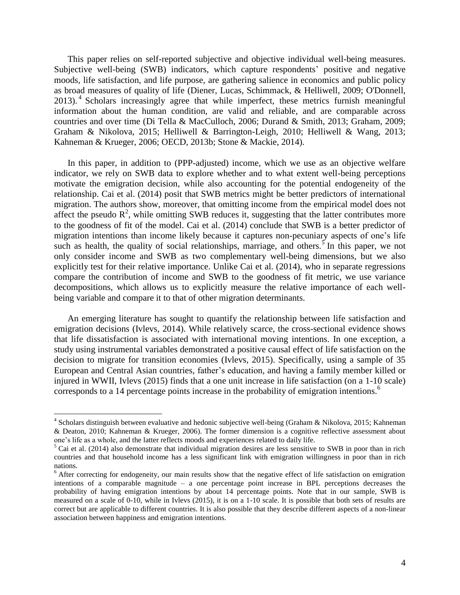This paper relies on self-reported subjective and objective individual well-being measures. Subjective well-being (SWB) indicators, which capture respondents' positive and negative moods, life satisfaction, and life purpose, are gathering salience in economics and public policy as broad measures of quality of life [\(Diener, Lucas, Schimmack, & Helliwell, 2009;](#page-14-8) [O'Donnell,](#page-16-6)  [2013\)](#page-16-6).<sup>4</sup> Scholars increasingly agree that while imperfect, these metrics furnish meaningful information about the human condition, are valid and reliable, and are comparable across countries and over time [\(Di Tella & MacCulloch, 2006;](#page-14-9) [Durand & Smith, 2013;](#page-14-10) [Graham, 2009;](#page-15-4) [Graham & Nikolova, 2015;](#page-15-5) [Helliwell & Barrington-Leigh, 2010;](#page-15-6) [Helliwell & Wang, 2013;](#page-15-7) [Kahneman & Krueger, 2006;](#page-15-8) [OECD, 2013b;](#page-16-7) [Stone & Mackie, 2014\)](#page-16-8).

In this paper, in addition to (PPP-adjusted) income, which we use as an objective welfare indicator, we rely on SWB data to explore whether and to what extent well-being perceptions motivate the emigration decision, while also accounting for the potential endogeneity of the relationship. Cai et al. (2014) posit that SWB metrics might be better predictors of international migration. The authors show, moreover, that omitting income from the empirical model does not affect the pseudo  $\mathbb{R}^2$ , while omitting SWB reduces it, suggesting that the latter contributes more to the goodness of fit of the model. Cai et al. (2014) conclude that SWB is a better predictor of migration intentions than income likely because it captures non-pecuniary aspects of one's life such as health, the quality of social relationships, marriage, and others.<sup>5</sup> In this paper, we not only consider income and SWB as two complementary well-being dimensions, but we also explicitly test for their relative importance. Unlike Cai et al. (2014), who in separate regressions compare the contribution of income and SWB to the goodness of fit metric, we use variance decompositions, which allows us to explicitly measure the relative importance of each wellbeing variable and compare it to that of other migration determinants.

An emerging literature has sought to quantify the relationship between life satisfaction and emigration decisions [\(Ivlevs, 2014\)](#page-15-2). While relatively scarce, the cross-sectional evidence shows that life dissatisfaction is associated with international moving intentions. In one exception, a study using instrumental variables demonstrated a positive causal effect of life satisfaction on the decision to migrate for transition economies [\(Ivlevs, 2015\)](#page-15-1). Specifically, using a sample of 35 European and Central Asian countries, father's education, and having a family member killed or injured in WWII, Ivlevs (2015) finds that a one unit increase in life satisfaction (on a 1-10 scale) corresponds to a 14 percentage points increase in the probability of emigration intentions.<sup>6</sup>

 $\overline{a}$ 

<sup>&</sup>lt;sup>4</sup> Scholars distinguish between evaluative and hedonic subjective well-being [\(Graham & Nikolova, 2015;](#page-15-5) Kahneman [& Deaton, 2010;](#page-15-9) [Kahneman & Krueger, 2006\)](#page-15-8). The former dimension is a cognitive reflective assessment about one's life as a whole, and the latter reflects moods and experiences related to daily life.

 $<sup>5</sup>$  Cai et al. (2014) also demonstrate that individual migration desires are less sensitive to SWB in poor than in rich</sup> countries and that household income has a less significant link with emigration willingness in poor than in rich nations.

 $6$  After correcting for endogeneity, our main results show that the negative effect of life satisfaction on emigration intentions of a comparable magnitude – a one percentage point increase in BPL perceptions decreases the probability of having emigration intentions by about 14 percentage points. Note that in our sample, SWB is measured on a scale of 0-10, while in Ivlevs (2015), it is on a 1-10 scale. It is possible that both sets of results are correct but are applicable to different countries. It is also possible that they describe different aspects of a non-linear association between happiness and emigration intentions.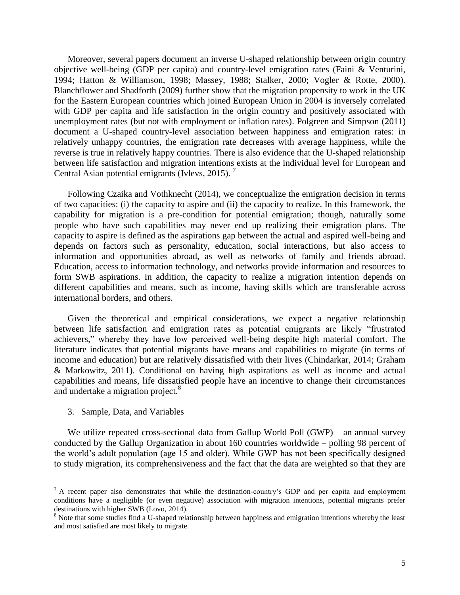Moreover, several papers document an inverse U-shaped relationship between origin country objective well-being (GDP per capita) and country-level emigration rates [\(Faini & Venturini,](#page-14-11)  [1994;](#page-14-11) [Hatton & Williamson, 1998;](#page-15-10) [Massey, 1988;](#page-15-11) [Stalker, 2000;](#page-16-9) [Vogler & Rotte, 2000\)](#page-16-10). Blanchflower and Shadforth (2009) further show that the migration propensity to work in the UK for the Eastern European countries which joined European Union in 2004 is inversely correlated with GDP per capita and life satisfaction in the origin country and positively associated with unemployment rates (but not with employment or inflation rates). Polgreen and Simpson [\(2011\)](#page-16-11) document a U-shaped country-level association between happiness and emigration rates: in relatively unhappy countries, the emigration rate decreases with average happiness, while the reverse is true in relatively happy countries. There is also evidence that the U-shaped relationship between life satisfaction and migration intentions exists at the individual level for European and Central Asian potential emigrants [\(Ivlevs, 2015\)](#page-15-1).<sup>7</sup>

Following Czaika and Vothknecht [\(2014\)](#page-14-12), we conceptualize the emigration decision in terms of two capacities: (i) the capacity to aspire and (ii) the capacity to realize. In this framework, the capability for migration is a pre-condition for potential emigration; though, naturally some people who have such capabilities may never end up realizing their emigration plans. The capacity to aspire is defined as the aspirations gap between the actual and aspired well-being and depends on factors such as personality, education, social interactions, but also access to information and opportunities abroad, as well as networks of family and friends abroad. Education, access to information technology, and networks provide information and resources to form SWB aspirations. In addition, the capacity to realize a migration intention depends on different capabilities and means, such as income, having skills which are transferable across international borders, and others.

Given the theoretical and empirical considerations, we expect a negative relationship between life satisfaction and emigration rates as potential emigrants are likely "frustrated achievers," whereby they have low perceived well-being despite high material comfort. The literature indicates that potential migrants have means and capabilities to migrate (in terms of income and education) but are relatively dissatisfied with their lives [\(Chindarkar, 2014;](#page-14-13) [Graham](#page-15-12)  [& Markowitz, 2011\)](#page-15-12). Conditional on having high aspirations as well as income and actual capabilities and means, life dissatisfied people have an incentive to change their circumstances and undertake a migration project.<sup>8</sup>

3. Sample, Data, and Variables

 $\overline{a}$ 

We utilize repeated cross-sectional data from Gallup World Poll (GWP) – an annual survey conducted by the Gallup Organization in about 160 countries worldwide – polling 98 percent of the world's adult population (age 15 and older). While GWP has not been specifically designed to study migration, its comprehensiveness and the fact that the data are weighted so that they are

 $<sup>7</sup>$  A recent paper also demonstrates that while the destination-country's GDP and per capita and employment</sup> conditions have a negligible (or even negative) association with migration intentions, potential migrants prefer destinations with higher SWB [\(Lovo, 2014\)](#page-15-13).

<sup>&</sup>lt;sup>8</sup> Note that some studies find a U-shaped relationship between happiness and emigration intentions whereby the least and most satisfied are most likely to migrate.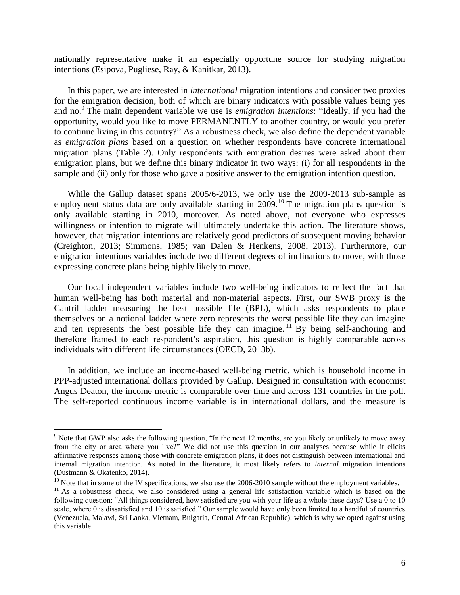nationally representative make it an especially opportune source for studying migration intentions [\(Esipova, Pugliese, Ray, & Kanitkar, 2013\)](#page-14-14).

In this paper, we are interested in *international* migration intentions and consider two proxies for the emigration decision, both of which are binary indicators with possible values being yes and no.<sup>9</sup> The main dependent variable we use is *emigration intentions*: "Ideally, if you had the opportunity, would you like to move PERMANENTLY to another country, or would you prefer to continue living in this country?" As a robustness check, we also define the dependent variable as *emigration plans* based on a question on whether respondents have concrete international migration plans (Table 2). Only respondents with emigration desires were asked about their emigration plans, but we define this binary indicator in two ways: (i) for all respondents in the sample and (ii) only for those who gave a positive answer to the emigration intention question.

While the Gallup dataset spans 2005/6-2013, we only use the 2009-2013 sub-sample as employment status data are only available starting in  $2009$ .<sup>10</sup> The migration plans question is only available starting in 2010, moreover. As noted above, not everyone who expresses willingness or intention to migrate will ultimately undertake this action. The literature shows, however, that migration intentions are relatively good predictors of subsequent moving behavior [\(Creighton, 2013;](#page-14-15) [Simmons, 1985;](#page-16-12) [van Dalen & Henkens, 2008,](#page-16-13) [2013\)](#page-16-14). Furthermore, our emigration intentions variables include two different degrees of inclinations to move, with those expressing concrete plans being highly likely to move.

Our focal independent variables include two well-being indicators to reflect the fact that human well-being has both material and non-material aspects. First, our SWB proxy is the Cantril ladder measuring the best possible life (BPL), which asks respondents to place themselves on a notional ladder where zero represents the worst possible life they can imagine and ten represents the best possible life they can imagine.<sup>11</sup> By being self-anchoring and therefore framed to each respondent's aspiration, this question is highly comparable across individuals with different life circumstances [\(OECD, 2013b\)](#page-16-7).

In addition, we include an income-based well-being metric, which is household income in PPP-adjusted international dollars provided by Gallup. Designed in consultation with economist Angus Deaton, the income metric is comparable over time and across 131 countries in the poll. The self-reported continuous income variable is in international dollars, and the measure is

 $\overline{a}$ 

 $9$  Note that GWP also asks the following question, "In the next 12 months, are you likely or unlikely to move away from the city or area where you live?" We did not use this question in our analyses because while it elicits affirmative responses among those with concrete emigration plans, it does not distinguish between international and internal migration intention. As noted in the literature, it most likely refers to *internal* migration intentions [\(Dustmann & Okatenko, 2014\)](#page-14-16).

 $10$  Note that in some of the IV specifications, we also use the 2006-2010 sample without the employment variables.

 $11$  As a robustness check, we also considered using a general life satisfaction variable which is based on the following question: "All things considered, how satisfied are you with your life as a whole these days? Use a 0 to 10 scale, where 0 is dissatisfied and 10 is satisfied." Our sample would have only been limited to a handful of countries (Venezuela, Malawi, Sri Lanka, Vietnam, Bulgaria, Central African Republic), which is why we opted against using this variable.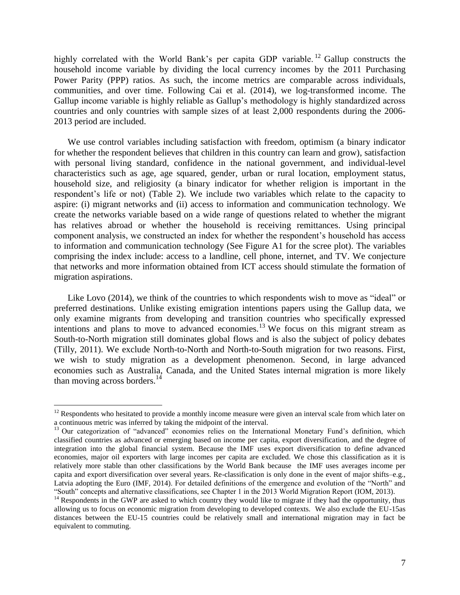highly correlated with the World Bank's per capita GDP variable.<sup>12</sup> Gallup constructs the household income variable by dividing the local currency incomes by the 2011 Purchasing Power Parity (PPP) ratios. As such, the income metrics are comparable across individuals, communities, and over time. Following Cai et al. (2014), we log-transformed income. The Gallup income variable is highly reliable as Gallup's methodology is highly standardized across countries and only countries with sample sizes of at least 2,000 respondents during the 2006- 2013 period are included.

We use control variables including satisfaction with freedom, optimism (a binary indicator for whether the respondent believes that children in this country can learn and grow), satisfaction with personal living standard, confidence in the national government, and individual-level characteristics such as age, age squared, gender, urban or rural location, employment status, household size, and religiosity (a binary indicator for whether religion is important in the respondent's life or not) (Table 2). We include two variables which relate to the capacity to aspire: (i) migrant networks and (ii) access to information and communication technology. We create the networks variable based on a wide range of questions related to whether the migrant has relatives abroad or whether the household is receiving remittances. Using principal component analysis, we constructed an index for whether the respondent's household has access to information and communication technology (See Figure A1 for the scree plot). The variables comprising the index include: access to a landline, cell phone, internet, and TV. We conjecture that networks and more information obtained from ICT access should stimulate the formation of migration aspirations.

Like Lovo  $(2014)$ , we think of the countries to which respondents wish to move as "ideal" or preferred destinations. Unlike existing emigration intentions papers using the Gallup data, we only examine migrants from developing and transition countries who specifically expressed intentions and plans to move to advanced economies. <sup>13</sup> We focus on this migrant stream as South-to-North migration still dominates global flows and is also the subject of policy debates [\(Tilly, 2011\)](#page-16-15). We exclude North-to-North and North-to-South migration for two reasons. First, we wish to study migration as a development phenomenon. Second, in large advanced economies such as Australia, Canada, and the United States internal migration is more likely than moving across borders. $^{14}$ 

 $\overline{a}$ 

 $12$  Respondents who hesitated to provide a monthly income measure were given an interval scale from which later on a continuous metric was inferred by taking the midpoint of the interval.

<sup>&</sup>lt;sup>13</sup> Our categorization of "advanced" economies relies on the International Monetary Fund's definition, which classified countries as advanced or emerging based on income per capita, export diversification, and the degree of integration into the global financial system. Because the IMF uses export diversification to define advanced economies, major oil exporters with large incomes per capita are excluded. We chose this classification as it is relatively more stable than other classifications by the World Bank because the IMF uses averages income per capita and export diversification over several years. Re-classification is only done in the event of major shifts–e.g., Latvia adopting the Euro [\(IMF, 2014\)](#page-15-14). For detailed definitions of the emergence and evolution of the "North" and ―South‖ concepts and alternative classifications, see Chapter 1 in the 2013 World Migration Report [\(IOM, 2013\)](#page-15-15).

<sup>&</sup>lt;sup>14</sup> Respondents in the GWP are asked to which country they would like to migrate if they had the opportunity, thus allowing us to focus on economic migration from developing to developed contexts. We also exclude the EU-15as distances between the EU-15 countries could be relatively small and international migration may in fact be equivalent to commuting.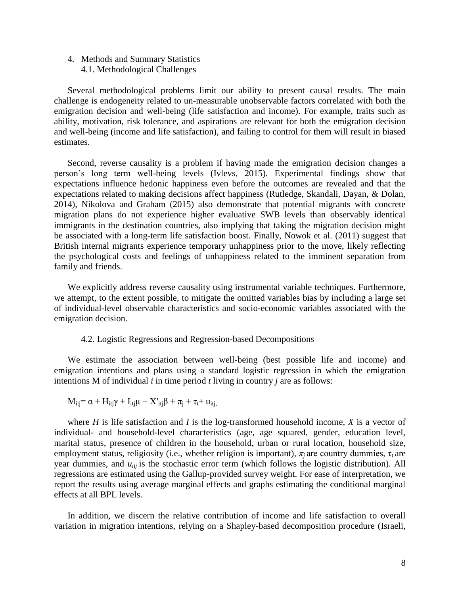# 4. Methods and Summary Statistics 4.1. Methodological Challenges

Several methodological problems limit our ability to present causal results. The main challenge is endogeneity related to un-measurable unobservable factors correlated with both the emigration decision and well-being (life satisfaction and income). For example, traits such as ability, motivation, risk tolerance, and aspirations are relevant for both the emigration decision and well-being (income and life satisfaction), and failing to control for them will result in biased estimates.

Second, reverse causality is a problem if having made the emigration decision changes a person's long term well-being levels [\(Ivlevs, 2015\)](#page-15-1). Experimental findings show that expectations influence hedonic happiness even before the outcomes are revealed and that the expectations related to making decisions affect happiness [\(Rutledge, Skandali, Dayan, & Dolan,](#page-16-16)  [2014\)](#page-16-16), Nikolova and Graham (2015) also demonstrate that potential migrants with concrete migration plans do not experience higher evaluative SWB levels than observably identical immigrants in the destination countries, also implying that taking the migration decision might be associated with a long-term life satisfaction boost. Finally, Nowok et al. [\(2011\)](#page-16-17) suggest that British internal migrants experience temporary unhappiness prior to the move, likely reflecting the psychological costs and feelings of unhappiness related to the imminent separation from family and friends.

We explicitly address reverse causality using instrumental variable techniques. Furthermore, we attempt, to the extent possible, to mitigate the omitted variables bias by including a large set of individual-level observable characteristics and socio-economic variables associated with the emigration decision.

#### 4.2. Logistic Regressions and Regression-based Decompositions

We estimate the association between well-being (best possible life and income) and emigration intentions and plans using a standard logistic regression in which the emigration intentions M of individual *i* in time period *t* living in country *j* are as follows:

$$
M_{itj} = \alpha + H_{itj}\gamma + I_{itj}\mu + X'_{itj}\beta + \pi_j + \tau_t + u_{itj}
$$

where *H* is life satisfaction and *I* is the log-transformed household income, *X* is a vector of individual- and household-level characteristics (age, age squared, gender, education level, marital status, presence of children in the household, urban or rural location, household size, employment status, religiosity (i.e., whether religion is important),  $\pi$ <sub>*j*</sub> are country dummies,  $\tau$ <sub>t</sub> are year dummies, and  $u_{itj}$  is the stochastic error term (which follows the logistic distribution). All regressions are estimated using the Gallup-provided survey weight. For ease of interpretation, we report the results using average marginal effects and graphs estimating the conditional marginal effects at all BPL levels.

In addition, we discern the relative contribution of income and life satisfaction to overall variation in migration intentions, relying on a Shapley-based decomposition procedure [\(Israeli,](#page-15-16)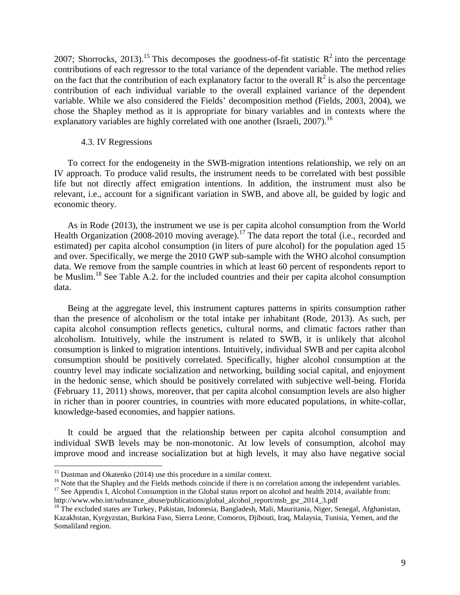2007; [Shorrocks, 2013\)](#page-16-18).<sup>15</sup> This decomposes the goodness-of-fit statistic  $R^2$  into the percentage contributions of each regressor to the total variance of the dependent variable. The method relies on the fact that the contribution of each explanatory factor to the overall  $\mathbb{R}^2$  is also the percentage contribution of each individual variable to the overall explained variance of the dependent variable. While we also considered the Fields' decomposition method [\(Fields, 2003,](#page-14-17) [2004\)](#page-15-17), we chose the Shapley method as it is appropriate for binary variables and in contexts where the explanatory variables are highly correlated with one another [\(Israeli, 2007\)](#page-15-16).<sup>16</sup>

#### 4.3. IV Regressions

To correct for the endogeneity in the SWB-migration intentions relationship, we rely on an IV approach. To produce valid results, the instrument needs to be correlated with best possible life but not directly affect emigration intentions. In addition, the instrument must also be relevant, i.e., account for a significant variation in SWB, and above all, be guided by logic and economic theory.

As in Rode [\(2013\)](#page-16-19), the instrument we use is per capita alcohol consumption from the World Health Organization (2008-2010 moving average).<sup>17</sup> The data report the total (i.e., recorded and estimated) per capita alcohol consumption (in liters of pure alcohol) for the population aged 15 and over. Specifically, we merge the 2010 GWP sub-sample with the WHO alcohol consumption data. We remove from the sample countries in which at least 60 percent of respondents report to be Muslim.<sup>18</sup> See Table A.2. for the included countries and their per capita alcohol consumption data.

Being at the aggregate level, this instrument captures patterns in spirits consumption rather than the presence of alcoholism or the total intake per inhabitant [\(Rode, 2013\)](#page-16-19). As such, per capita alcohol consumption reflects genetics, cultural norms, and climatic factors rather than alcoholism. Intuitively, while the instrument is related to SWB, it is unlikely that alcohol consumption is linked to migration intentions. Intuitively, individual SWB and per capita alcohol consumption should be positively correlated. Specifically, higher alcohol consumption at the country level may indicate socialization and networking, building social capital, and enjoyment in the hedonic sense, which should be positively correlated with subjective well-being. Florida (February 11, 2011) shows, moreover, that per capita alcohol consumption levels are also higher in richer than in poorer countries, in countries with more educated populations, in white-collar, knowledge-based economies, and happier nations.

It could be argued that the relationship between per capita alcohol consumption and individual SWB levels may be non-monotonic. At low levels of consumption, alcohol may improve mood and increase socialization but at high levels, it may also have negative social

 $\overline{a}$ 

 $15$  Dustman and Okatenko [\(2014\)](#page-14-16) use this procedure in a similar context.

<sup>&</sup>lt;sup>16</sup> Note that the Shapley and the Fields methods coincide if there is no correlation among the independent variables.  $17$  See Appendix I, Alcohol Consumption in the Global status report on alcohol and health 2014, available from:

http://www.who.int/substance\_abuse/publications/global\_alcohol\_report/msb\_gsr\_2014\_3.pdf

<sup>&</sup>lt;sup>18</sup> The excluded states are Turkey, Pakistan, Indonesia, Bangladesh, Mali, Mauritania, Niger, Senegal, Afghanistan, Kazakhstan, Kyrgyzstan, Burkina Faso, Sierra Leone, Comoros, Djibouti, Iraq, Malaysia, Tunisia, Yemen, and the Somaliland region.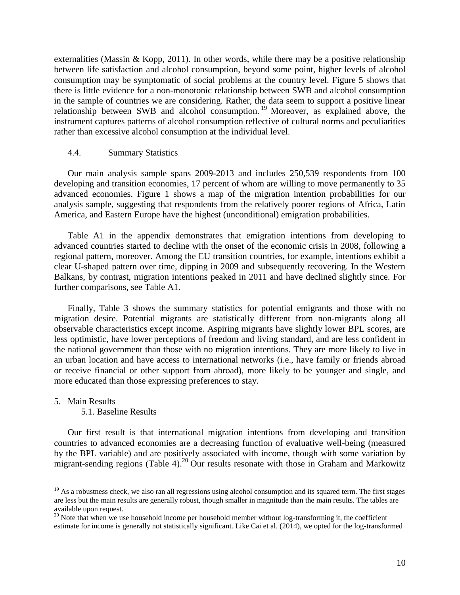externalities [\(Massin & Kopp, 2011\)](#page-15-18). In other words, while there may be a positive relationship between life satisfaction and alcohol consumption, beyond some point, higher levels of alcohol consumption may be symptomatic of social problems at the country level. Figure 5 shows that there is little evidence for a non-monotonic relationship between SWB and alcohol consumption in the sample of countries we are considering. Rather, the data seem to support a positive linear relationship between SWB and alcohol consumption. <sup>19</sup> Moreover, as explained above, the instrument captures patterns of alcohol consumption reflective of cultural norms and peculiarities rather than excessive alcohol consumption at the individual level.

#### 4.4. Summary Statistics

Our main analysis sample spans 2009-2013 and includes 250,539 respondents from 100 developing and transition economies, 17 percent of whom are willing to move permanently to 35 advanced economies. Figure 1 shows a map of the migration intention probabilities for our analysis sample, suggesting that respondents from the relatively poorer regions of Africa, Latin America, and Eastern Europe have the highest (unconditional) emigration probabilities.

Table A1 in the appendix demonstrates that emigration intentions from developing to advanced countries started to decline with the onset of the economic crisis in 2008, following a regional pattern, moreover. Among the EU transition countries, for example, intentions exhibit a clear U-shaped pattern over time, dipping in 2009 and subsequently recovering. In the Western Balkans, by contrast, migration intentions peaked in 2011 and have declined slightly since. For further comparisons, see Table A1.

Finally, Table 3 shows the summary statistics for potential emigrants and those with no migration desire. Potential migrants are statistically different from non-migrants along all observable characteristics except income. Aspiring migrants have slightly lower BPL scores, are less optimistic, have lower perceptions of freedom and living standard, and are less confident in the national government than those with no migration intentions. They are more likely to live in an urban location and have access to international networks (i.e., have family or friends abroad or receive financial or other support from abroad), more likely to be younger and single, and more educated than those expressing preferences to stay.

#### 5. Main Results

 $\overline{a}$ 

5.1. Baseline Results

Our first result is that international migration intentions from developing and transition countries to advanced economies are a decreasing function of evaluative well-being (measured by the BPL variable) and are positively associated with income, though with some variation by migrant-sending regions (Table 4).<sup>20</sup> Our results resonate with those in Graham and Markowitz

 $19$  As a robustness check, we also ran all regressions using alcohol consumption and its squared term. The first stages are less but the main results are generally robust, though smaller in magnitude than the main results. The tables are available upon request.

<sup>&</sup>lt;sup>20</sup> Note that when we use household income per household member without log-transforming it, the coefficient estimate for income is generally not statistically significant. Like Cai et al. (2014), we opted for the log-transformed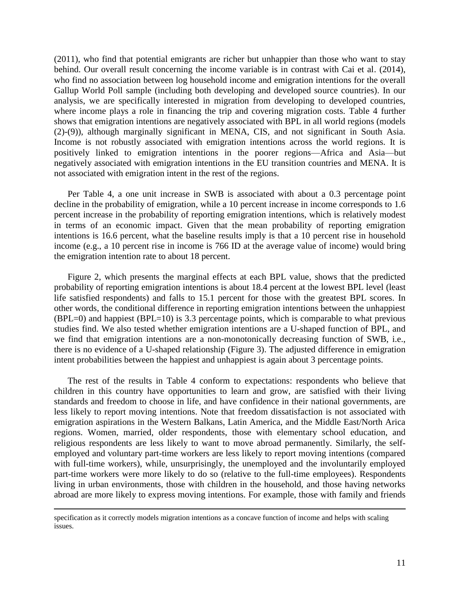(2011), who find that potential emigrants are richer but unhappier than those who want to stay behind. Our overall result concerning the income variable is in contrast with Cai et al. (2014), who find no association between log household income and emigration intentions for the overall Gallup World Poll sample (including both developing and developed source countries). In our analysis, we are specifically interested in migration from developing to developed countries, where income plays a role in financing the trip and covering migration costs. Table 4 further shows that emigration intentions are negatively associated with BPL in all world regions (models (2)-(9)), although marginally significant in MENA, CIS, and not significant in South Asia. Income is not robustly associated with emigration intentions across the world regions. It is positively linked to emigration intentions in the poorer regions—Africa and Asia—but negatively associated with emigration intentions in the EU transition countries and MENA. It is not associated with emigration intent in the rest of the regions.

Per Table 4, a one unit increase in SWB is associated with about a 0.3 percentage point decline in the probability of emigration, while a 10 percent increase in income corresponds to 1.6 percent increase in the probability of reporting emigration intentions, which is relatively modest in terms of an economic impact. Given that the mean probability of reporting emigration intentions is 16.6 percent, what the baseline results imply is that a 10 percent rise in household income (e.g., a 10 percent rise in income is 766 ID at the average value of income) would bring the emigration intention rate to about 18 percent.

Figure 2, which presents the marginal effects at each BPL value, shows that the predicted probability of reporting emigration intentions is about 18.4 percent at the lowest BPL level (least life satisfied respondents) and falls to 15.1 percent for those with the greatest BPL scores. In other words, the conditional difference in reporting emigration intentions between the unhappiest  $(BPL=0)$  and happiest  $(BPL=10)$  is 3.3 percentage points, which is comparable to what previous studies find. We also tested whether emigration intentions are a U-shaped function of BPL, and we find that emigration intentions are a non-monotonically decreasing function of SWB, i.e., there is no evidence of a U-shaped relationship (Figure 3). The adjusted difference in emigration intent probabilities between the happiest and unhappiest is again about 3 percentage points.

The rest of the results in Table 4 conform to expectations: respondents who believe that children in this country have opportunities to learn and grow, are satisfied with their living standards and freedom to choose in life, and have confidence in their national governments, are less likely to report moving intentions. Note that freedom dissatisfaction is not associated with emigration aspirations in the Western Balkans, Latin America, and the Middle East/North Arica regions. Women, married, older respondents, those with elementary school education, and religious respondents are less likely to want to move abroad permanently. Similarly, the selfemployed and voluntary part-time workers are less likely to report moving intentions (compared with full-time workers), while, unsurprisingly, the unemployed and the involuntarily employed part-time workers were more likely to do so (relative to the full-time employees). Respondents living in urban environments, those with children in the household, and those having networks abroad are more likely to express moving intentions. For example, those with family and friends

 $\overline{a}$ 

specification as it correctly models migration intentions as a concave function of income and helps with scaling issues.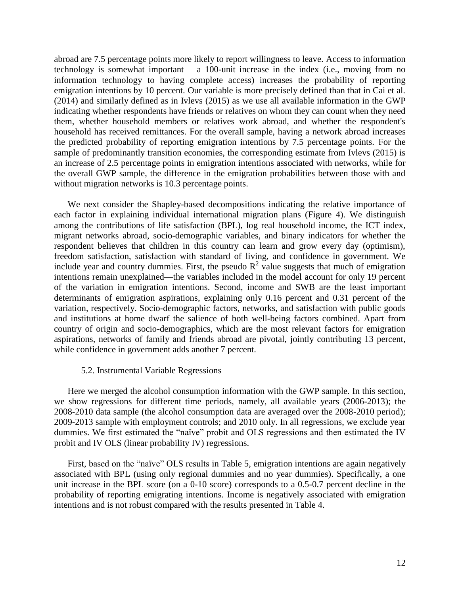abroad are 7.5 percentage points more likely to report willingness to leave. Access to information technology is somewhat important— a 100-unit increase in the index (i.e., moving from no information technology to having complete access) increases the probability of reporting emigration intentions by 10 percent. Our variable is more precisely defined than that in Cai et al. (2014) and similarly defined as in Ivlevs (2015) as we use all available information in the GWP indicating whether respondents have friends or relatives on whom they can count when they need them, whether household members or relatives work abroad, and whether the respondent's household has received remittances. For the overall sample, having a network abroad increases the predicted probability of reporting emigration intentions by 7.5 percentage points. For the sample of predominantly transition economies, the corresponding estimate from Ivlevs (2015) is an increase of 2.5 percentage points in emigration intentions associated with networks, while for the overall GWP sample, the difference in the emigration probabilities between those with and without migration networks is 10.3 percentage points.

We next consider the Shapley-based decompositions indicating the relative importance of each factor in explaining individual international migration plans (Figure 4). We distinguish among the contributions of life satisfaction (BPL), log real household income, the ICT index, migrant networks abroad, socio-demographic variables, and binary indicators for whether the respondent believes that children in this country can learn and grow every day (optimism), freedom satisfaction, satisfaction with standard of living, and confidence in government. We include year and country dummies. First, the pseudo  $R^2$  value suggests that much of emigration intentions remain unexplained—the variables included in the model account for only 19 percent of the variation in emigration intentions. Second, income and SWB are the least important determinants of emigration aspirations, explaining only 0.16 percent and 0.31 percent of the variation, respectively. Socio-demographic factors, networks, and satisfaction with public goods and institutions at home dwarf the salience of both well-being factors combined. Apart from country of origin and socio-demographics, which are the most relevant factors for emigration aspirations, networks of family and friends abroad are pivotal, jointly contributing 13 percent, while confidence in government adds another 7 percent.

#### 5.2. Instrumental Variable Regressions

Here we merged the alcohol consumption information with the GWP sample. In this section, we show regressions for different time periods, namely, all available years (2006-2013); the 2008-2010 data sample (the alcohol consumption data are averaged over the 2008-2010 period); 2009-2013 sample with employment controls; and 2010 only. In all regressions, we exclude year dummies. We first estimated the "naïve" probit and OLS regressions and then estimated the IV probit and IV OLS (linear probability IV) regressions.

First, based on the "naïve" OLS results in Table 5, emigration intentions are again negatively associated with BPL (using only regional dummies and no year dummies). Specifically, a one unit increase in the BPL score (on a 0-10 score) corresponds to a 0.5-0.7 percent decline in the probability of reporting emigrating intentions. Income is negatively associated with emigration intentions and is not robust compared with the results presented in Table 4.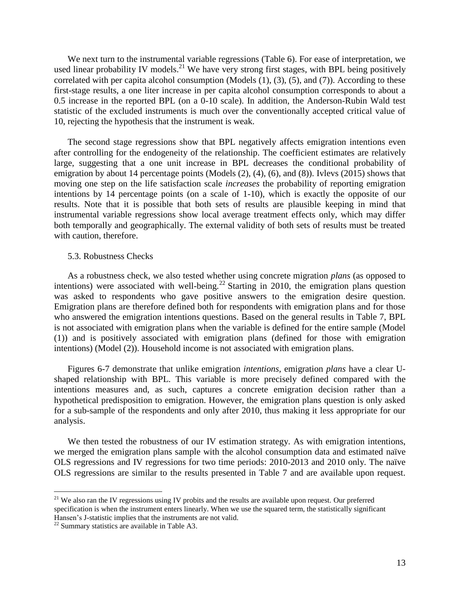We next turn to the instrumental variable regressions (Table 6). For ease of interpretation, we used linear probability IV models.<sup>21</sup> We have very strong first stages, with BPL being positively correlated with per capita alcohol consumption (Models  $(1)$ ,  $(3)$ ,  $(5)$ , and  $(7)$ ). According to these first-stage results, a one liter increase in per capita alcohol consumption corresponds to about a 0.5 increase in the reported BPL (on a 0-10 scale). In addition, the Anderson-Rubin Wald test statistic of the excluded instruments is much over the conventionally accepted critical value of 10, rejecting the hypothesis that the instrument is weak.

The second stage regressions show that BPL negatively affects emigration intentions even after controlling for the endogeneity of the relationship. The coefficient estimates are relatively large, suggesting that a one unit increase in BPL decreases the conditional probability of emigration by about 14 percentage points (Models (2), (4), (6), and (8)). Ivlevs (2015) shows that moving one step on the life satisfaction scale *increases* the probability of reporting emigration intentions by 14 percentage points (on a scale of 1-10), which is exactly the opposite of our results. Note that it is possible that both sets of results are plausible keeping in mind that instrumental variable regressions show local average treatment effects only, which may differ both temporally and geographically. The external validity of both sets of results must be treated with caution, therefore.

#### 5.3. Robustness Checks

As a robustness check, we also tested whether using concrete migration *plans* (as opposed to intentions) were associated with well-being.<sup>22</sup> Starting in 2010, the emigration plans question was asked to respondents who gave positive answers to the emigration desire question. Emigration plans are therefore defined both for respondents with emigration plans and for those who answered the emigration intentions questions. Based on the general results in Table 7, BPL is not associated with emigration plans when the variable is defined for the entire sample (Model (1)) and is positively associated with emigration plans (defined for those with emigration intentions) (Model (2)). Household income is not associated with emigration plans.

Figures 6-7 demonstrate that unlike emigration *intentions,* emigration *plans* have a clear Ushaped relationship with BPL. This variable is more precisely defined compared with the intentions measures and, as such, captures a concrete emigration decision rather than a hypothetical predisposition to emigration. However, the emigration plans question is only asked for a sub-sample of the respondents and only after 2010, thus making it less appropriate for our analysis.

We then tested the robustness of our IV estimation strategy. As with emigration intentions, we merged the emigration plans sample with the alcohol consumption data and estimated naïve OLS regressions and IV regressions for two time periods: 2010-2013 and 2010 only. The naïve OLS regressions are similar to the results presented in Table 7 and are available upon request.

 $\overline{a}$ 

<sup>&</sup>lt;sup>21</sup> We also ran the IV regressions using IV probits and the results are available upon request. Our preferred specification is when the instrument enters linearly. When we use the squared term, the statistically significant Hansen's J-statistic implies that the instruments are not valid.

<sup>&</sup>lt;sup>22</sup> Summary statistics are available in Table A3.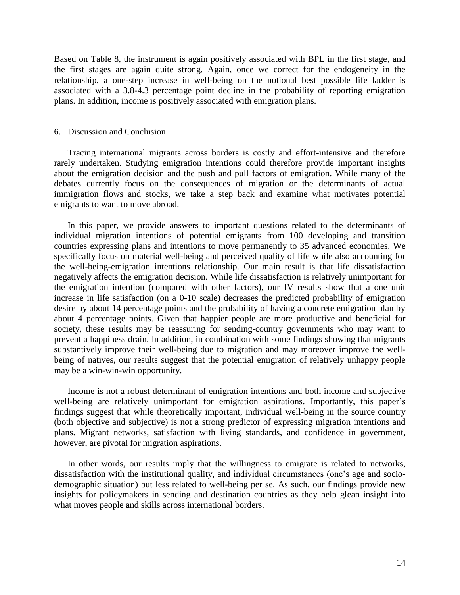Based on Table 8, the instrument is again positively associated with BPL in the first stage, and the first stages are again quite strong. Again, once we correct for the endogeneity in the relationship, a one-step increase in well-being on the notional best possible life ladder is associated with a 3.8-4.3 percentage point decline in the probability of reporting emigration plans. In addition, income is positively associated with emigration plans.

#### 6. Discussion and Conclusion

Tracing international migrants across borders is costly and effort-intensive and therefore rarely undertaken. Studying emigration intentions could therefore provide important insights about the emigration decision and the push and pull factors of emigration. While many of the debates currently focus on the consequences of migration or the determinants of actual immigration flows and stocks, we take a step back and examine what motivates potential emigrants to want to move abroad.

In this paper, we provide answers to important questions related to the determinants of individual migration intentions of potential emigrants from 100 developing and transition countries expressing plans and intentions to move permanently to 35 advanced economies. We specifically focus on material well-being and perceived quality of life while also accounting for the well-being-emigration intentions relationship. Our main result is that life dissatisfaction negatively affects the emigration decision. While life dissatisfaction is relatively unimportant for the emigration intention (compared with other factors), our IV results show that a one unit increase in life satisfaction (on a 0-10 scale) decreases the predicted probability of emigration desire by about 14 percentage points and the probability of having a concrete emigration plan by about 4 percentage points. Given that happier people are more productive and beneficial for society, these results may be reassuring for sending-country governments who may want to prevent a happiness drain. In addition, in combination with some findings showing that migrants substantively improve their well-being due to migration and may moreover improve the wellbeing of natives, our results suggest that the potential emigration of relatively unhappy people may be a win-win-win opportunity.

Income is not a robust determinant of emigration intentions and both income and subjective well-being are relatively unimportant for emigration aspirations. Importantly, this paper's findings suggest that while theoretically important, individual well-being in the source country (both objective and subjective) is not a strong predictor of expressing migration intentions and plans. Migrant networks, satisfaction with living standards, and confidence in government, however, are pivotal for migration aspirations.

In other words, our results imply that the willingness to emigrate is related to networks, dissatisfaction with the institutional quality, and individual circumstances (one's age and sociodemographic situation) but less related to well-being per se. As such, our findings provide new insights for policymakers in sending and destination countries as they help glean insight into what moves people and skills across international borders.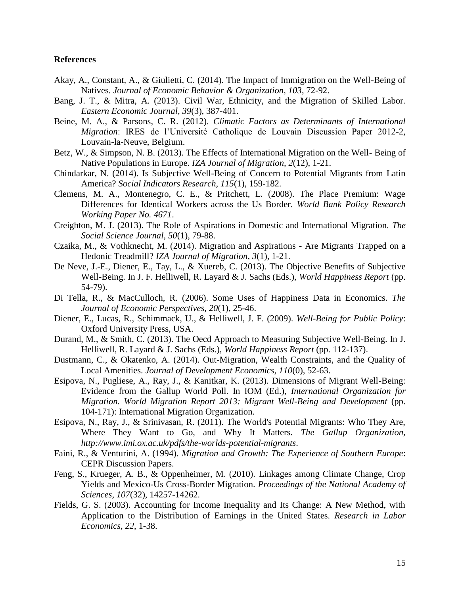#### **References**

- <span id="page-14-6"></span>Akay, A., Constant, A., & Giulietti, C. (2014). The Impact of Immigration on the Well-Being of Natives. *Journal of Economic Behavior & Organization, 103*, 72-92.
- <span id="page-14-0"></span>Bang, J. T., & Mitra, A. (2013). Civil War, Ethnicity, and the Migration of Skilled Labor. *Eastern Economic Journal, 39*(3), 387-401.
- <span id="page-14-1"></span>Beine, M. A., & Parsons, C. R. (2012). *Climatic Factors as Determinants of International Migration*: IRES de l'Université Catholique de Louvain Discussion Paper 2012-2, Louvain-la-Neuve, Belgium.
- <span id="page-14-7"></span>Betz, W., & Simpson, N. B. (2013). The Effects of International Migration on the Well- Being of Native Populations in Europe. *IZA Journal of Migration, 2*(12), 1-21.
- <span id="page-14-13"></span>Chindarkar, N. (2014). Is Subjective Well-Being of Concern to Potential Migrants from Latin America? *Social Indicators Research, 115*(1), 159-182.
- <span id="page-14-5"></span>Clemens, M. A., Montenegro, C. E., & Pritchett, L. (2008). The Place Premium: Wage Differences for Identical Workers across the Us Border. *World Bank Policy Research Working Paper No. 4671*.
- <span id="page-14-15"></span>Creighton, M. J. (2013). The Role of Aspirations in Domestic and International Migration. *The Social Science Journal, 50*(1), 79-88.
- <span id="page-14-12"></span>Czaika, M., & Vothknecht, M. (2014). Migration and Aspirations - Are Migrants Trapped on a Hedonic Treadmill? *IZA Journal of Migration, 3*(1), 1-21.
- <span id="page-14-4"></span>De Neve, J.-E., Diener, E., Tay, L., & Xuereb, C. (2013). The Objective Benefits of Subjective Well-Being. In J. F. Helliwell, R. Layard & J. Sachs (Eds.), *World Happiness Report* (pp. 54-79).
- <span id="page-14-9"></span>Di Tella, R., & MacCulloch, R. (2006). Some Uses of Happiness Data in Economics. *The Journal of Economic Perspectives, 20*(1), 25-46.
- <span id="page-14-8"></span>Diener, E., Lucas, R., Schimmack, U., & Helliwell, J. F. (2009). *Well-Being for Public Policy*: Oxford University Press, USA.
- <span id="page-14-10"></span>Durand, M., & Smith, C. (2013). The Oecd Approach to Measuring Subjective Well-Being. In J. Helliwell, R. Layard & J. Sachs (Eds.), *World Happiness Report* (pp. 112-137).
- <span id="page-14-16"></span>Dustmann, C., & Okatenko, A. (2014). Out-Migration, Wealth Constraints, and the Quality of Local Amenities. *Journal of Development Economics, 110*(0), 52-63.
- <span id="page-14-14"></span>Esipova, N., Pugliese, A., Ray, J., & Kanitkar, K. (2013). Dimensions of Migrant Well-Being: Evidence from the Gallup World Poll. In IOM (Ed.), *International Organization for Migration. World Migration Report 2013: Migrant Well-Being and Development* (pp. 104-171): International Migration Organization.
- <span id="page-14-3"></span>Esipova, N., Ray, J., & Srinivasan, R. (2011). The World's Potential Migrants: Who They Are, Where They Want to Go, and Why It Matters. *The Gallup Organization, http://www.imi.ox.ac.uk/pdfs/the-worlds-potential-migrants*.
- <span id="page-14-11"></span>Faini, R., & Venturini, A. (1994). *Migration and Growth: The Experience of Southern Europe*: CEPR Discussion Papers.
- <span id="page-14-2"></span>Feng, S., Krueger, A. B., & Oppenheimer, M. (2010). Linkages among Climate Change, Crop Yields and Mexico-Us Cross-Border Migration. *Proceedings of the National Academy of Sciences, 107*(32), 14257-14262.
- <span id="page-14-17"></span>Fields, G. S. (2003). Accounting for Income Inequality and Its Change: A New Method, with Application to the Distribution of Earnings in the United States. *Research in Labor Economics, 22*, 1-38.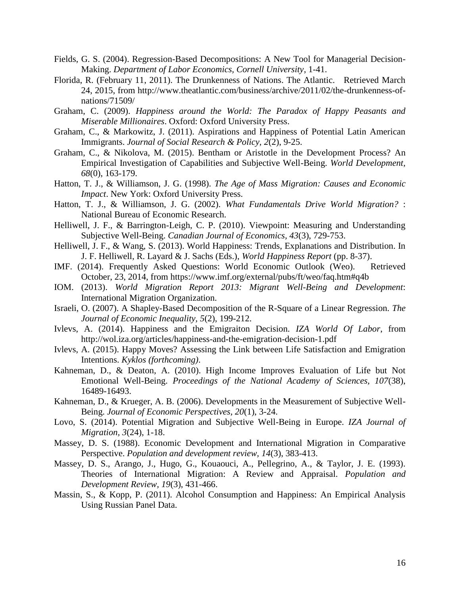- <span id="page-15-17"></span>Fields, G. S. (2004). Regression-Based Decompositions: A New Tool for Managerial Decision-Making. *Department of Labor Economics, Cornell University*, 1-41.
- Florida, R. (February 11, 2011). The Drunkenness of Nations. The Atlantic. Retrieved March 24, 2015, from http://www.theatlantic.com/business/archive/2011/02/the-drunkenness-ofnations/71509/
- <span id="page-15-4"></span>Graham, C. (2009). *Happiness around the World: The Paradox of Happy Peasants and Miserable Millionaires*. Oxford: Oxford University Press.
- <span id="page-15-12"></span>Graham, C., & Markowitz, J. (2011). Aspirations and Happiness of Potential Latin American Immigrants. *Journal of Social Research & Policy, 2*(2), 9-25.
- <span id="page-15-5"></span>Graham, C., & Nikolova, M. (2015). Bentham or Aristotle in the Development Process? An Empirical Investigation of Capabilities and Subjective Well-Being. *World Development, 68*(0), 163-179.
- <span id="page-15-10"></span>Hatton, T. J., & Williamson, J. G. (1998). *The Age of Mass Migration: Causes and Economic Impact*. New York: Oxford University Press.
- <span id="page-15-0"></span>Hatton, T. J., & Williamson, J. G. (2002). *What Fundamentals Drive World Migration?* : National Bureau of Economic Research.
- <span id="page-15-6"></span>Helliwell, J. F., & Barrington-Leigh, C. P. (2010). Viewpoint: Measuring and Understanding Subjective Well-Being. *Canadian Journal of Economics, 43*(3), 729-753.
- <span id="page-15-7"></span>Helliwell, J. F., & Wang, S. (2013). World Happiness: Trends, Explanations and Distribution. In J. F. Helliwell, R. Layard & J. Sachs (Eds.), *World Happiness Report* (pp. 8-37).
- <span id="page-15-14"></span>IMF. (2014). Frequently Asked Questions: World Economic Outlook (Weo). Retrieved October, 23, 2014, from https://www.imf.org/external/pubs/ft/weo/faq.htm#q4b
- <span id="page-15-15"></span>IOM. (2013). *World Migration Report 2013: Migrant Well-Being and Development*: International Migration Organization.
- <span id="page-15-16"></span>Israeli, O. (2007). A Shapley-Based Decomposition of the R-Square of a Linear Regression. *The Journal of Economic Inequality, 5*(2), 199-212.
- <span id="page-15-2"></span>Ivlevs, A. (2014). Happiness and the Emigraiton Decision. *IZA World Of Labor*, from http://wol.iza.org/articles/happiness-and-the-emigration-decision-1.pdf
- <span id="page-15-1"></span>Ivlevs, A. (2015). Happy Moves? Assessing the Link between Life Satisfaction and Emigration Intentions. *Kyklos (forthcoming)*.
- <span id="page-15-9"></span>Kahneman, D., & Deaton, A. (2010). High Income Improves Evaluation of Life but Not Emotional Well-Being. *Proceedings of the National Academy of Sciences, 107*(38), 16489-16493.
- <span id="page-15-8"></span>Kahneman, D., & Krueger, A. B. (2006). Developments in the Measurement of Subjective Well-Being. *Journal of Economic Perspectives, 20*(1), 3-24.
- <span id="page-15-13"></span>Lovo, S. (2014). Potential Migration and Subjective Well-Being in Europe. *IZA Journal of Migration, 3*(24), 1-18.
- <span id="page-15-11"></span>Massey, D. S. (1988). Economic Development and International Migration in Comparative Perspective. *Population and development review, 14*(3), 383-413.
- <span id="page-15-3"></span>Massey, D. S., Arango, J., Hugo, G., Kouaouci, A., Pellegrino, A., & Taylor, J. E. (1993). Theories of International Migration: A Review and Appraisal. *Population and Development Review, 19*(3), 431-466.
- <span id="page-15-18"></span>Massin, S., & Kopp, P. (2011). Alcohol Consumption and Happiness: An Empirical Analysis Using Russian Panel Data.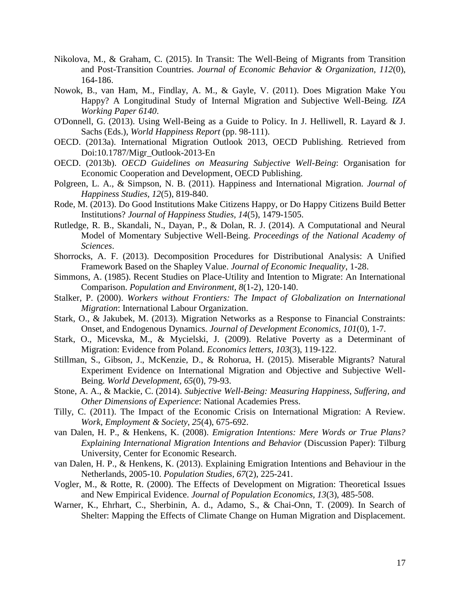- <span id="page-16-3"></span>Nikolova, M., & Graham, C. (2015). In Transit: The Well-Being of Migrants from Transition and Post-Transition Countries. *Journal of Economic Behavior & Organization, 112*(0), 164-186.
- <span id="page-16-17"></span>Nowok, B., van Ham, M., Findlay, A. M., & Gayle, V. (2011). Does Migration Make You Happy? A Longitudinal Study of Internal Migration and Subjective Well-Being. *IZA Working Paper 6140*.
- <span id="page-16-6"></span>O'Donnell, G. (2013). Using Well-Being as a Guide to Policy. In J. Helliwell, R. Layard & J. Sachs (Eds.), *World Happiness Report* (pp. 98-111).
- <span id="page-16-5"></span>OECD. (2013a). International Migration Outlook 2013, OECD Publishing. Retrieved from Doi:10.1787/Migr\_Outlook-2013-En
- <span id="page-16-7"></span>OECD. (2013b). *OECD Guidelines on Measuring Subjective Well-Being*: Organisation for Economic Cooperation and Development, OECD Publishing.
- <span id="page-16-11"></span>Polgreen, L. A., & Simpson, N. B. (2011). Happiness and International Migration. *Journal of Happiness Studies, 12*(5), 819-840.
- <span id="page-16-19"></span>Rode, M. (2013). Do Good Institutions Make Citizens Happy, or Do Happy Citizens Build Better Institutions? *Journal of Happiness Studies, 14*(5), 1479-1505.
- <span id="page-16-16"></span>Rutledge, R. B., Skandali, N., Dayan, P., & Dolan, R. J. (2014). A Computational and Neural Model of Momentary Subjective Well-Being. *Proceedings of the National Academy of Sciences*.
- <span id="page-16-18"></span>Shorrocks, A. F. (2013). Decomposition Procedures for Distributional Analysis: A Unified Framework Based on the Shapley Value. *Journal of Economic Inequality*, 1-28.
- <span id="page-16-12"></span>Simmons, A. (1985). Recent Studies on Place-Utility and Intention to Migrate: An International Comparison. *Population and Environment, 8*(1-2), 120-140.
- <span id="page-16-9"></span>Stalker, P. (2000). *Workers without Frontiers: The Impact of Globalization on International Migration*: International Labour Organization.
- <span id="page-16-0"></span>Stark, O., & Jakubek, M. (2013). Migration Networks as a Response to Financial Constraints: Onset, and Endogenous Dynamics. *Journal of Development Economics, 101*(0), 1-7.
- <span id="page-16-1"></span>Stark, O., Micevska, M., & Mycielski, J. (2009). Relative Poverty as a Determinant of Migration: Evidence from Poland. *Economics letters, 103*(3), 119-122.
- <span id="page-16-4"></span>Stillman, S., Gibson, J., McKenzie, D., & Rohorua, H. (2015). Miserable Migrants? Natural Experiment Evidence on International Migration and Objective and Subjective Well-Being. *World Development, 65*(0), 79-93.
- <span id="page-16-8"></span>Stone, A. A., & Mackie, C. (2014). *Subjective Well-Being: Measuring Happiness, Suffering, and Other Dimensions of Experience*: National Academies Press.
- <span id="page-16-15"></span>Tilly, C. (2011). The Impact of the Economic Crisis on International Migration: A Review. *Work, Employment & Society, 25*(4), 675-692.
- <span id="page-16-13"></span>van Dalen, H. P., & Henkens, K. (2008). *Emigration Intentions: Mere Words or True Plans? Explaining International Migration Intentions and Behavior* (Discussion Paper): Tilburg University, Center for Economic Research.
- <span id="page-16-14"></span>van Dalen, H. P., & Henkens, K. (2013). Explaining Emigration Intentions and Behaviour in the Netherlands, 2005-10. *Population Studies, 67*(2), 225-241.
- <span id="page-16-10"></span>Vogler, M., & Rotte, R. (2000). The Effects of Development on Migration: Theoretical Issues and New Empirical Evidence. *Journal of Population Economics, 13*(3), 485-508.
- <span id="page-16-2"></span>Warner, K., Ehrhart, C., Sherbinin, A. d., Adamo, S., & Chai-Onn, T. (2009). In Search of Shelter: Mapping the Effects of Climate Change on Human Migration and Displacement.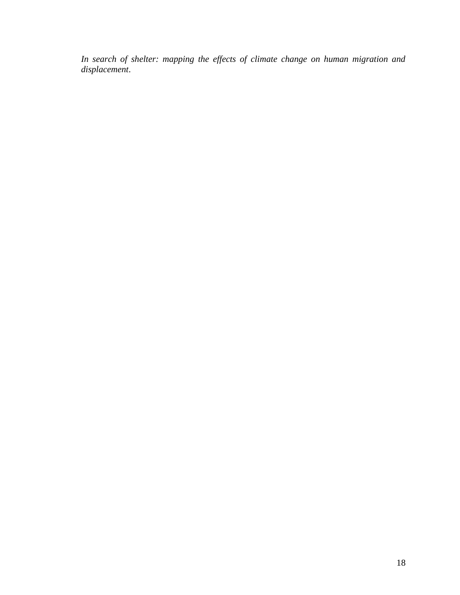*In search of shelter: mapping the effects of climate change on human migration and displacement*.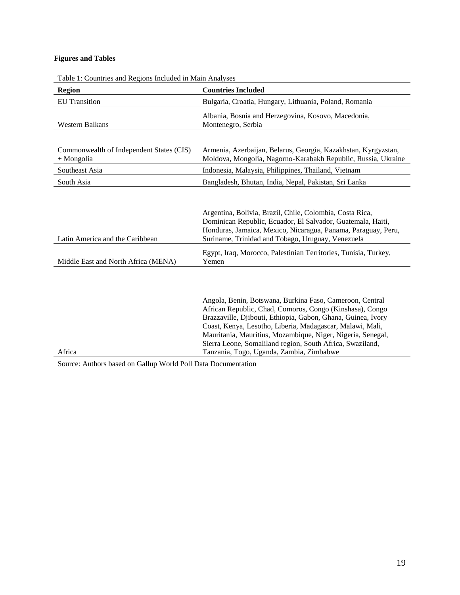# **Figures and Tables**

| Region                                                   | <b>Countries Included</b>                                                                                                                                                                                                                                                                                                                                                                                                 |
|----------------------------------------------------------|---------------------------------------------------------------------------------------------------------------------------------------------------------------------------------------------------------------------------------------------------------------------------------------------------------------------------------------------------------------------------------------------------------------------------|
| <b>EU</b> Transition                                     | Bulgaria, Croatia, Hungary, Lithuania, Poland, Romania                                                                                                                                                                                                                                                                                                                                                                    |
| Western Balkans                                          | Albania, Bosnia and Herzegovina, Kosovo, Macedonia,<br>Montenegro, Serbia                                                                                                                                                                                                                                                                                                                                                 |
| Commonwealth of Independent States (CIS)<br>$+$ Mongolia | Armenia, Azerbaijan, Belarus, Georgia, Kazakhstan, Kyrgyzstan,<br>Moldova, Mongolia, Nagorno-Karabakh Republic, Russia, Ukraine                                                                                                                                                                                                                                                                                           |
| Southeast Asia                                           | Indonesia, Malaysia, Philippines, Thailand, Vietnam                                                                                                                                                                                                                                                                                                                                                                       |
| South Asia                                               | Bangladesh, Bhutan, India, Nepal, Pakistan, Sri Lanka                                                                                                                                                                                                                                                                                                                                                                     |
| Latin America and the Caribbean                          | Argentina, Bolivia, Brazil, Chile, Colombia, Costa Rica,<br>Dominican Republic, Ecuador, El Salvador, Guatemala, Haiti,<br>Honduras, Jamaica, Mexico, Nicaragua, Panama, Paraguay, Peru,<br>Suriname, Trinidad and Tobago, Uruguay, Venezuela                                                                                                                                                                             |
| Middle East and North Africa (MENA)                      | Egypt, Iraq, Morocco, Palestinian Territories, Tunisia, Turkey,<br>Yemen                                                                                                                                                                                                                                                                                                                                                  |
| Africa                                                   | Angola, Benin, Botswana, Burkina Faso, Cameroon, Central<br>African Republic, Chad, Comoros, Congo (Kinshasa), Congo<br>Brazzaville, Djibouti, Ethiopia, Gabon, Ghana, Guinea, Ivory<br>Coast, Kenya, Lesotho, Liberia, Madagascar, Malawi, Mali,<br>Mauritania, Mauritius, Mozambique, Niger, Nigeria, Senegal,<br>Sierra Leone, Somaliland region, South Africa, Swaziland,<br>Tanzania, Togo, Uganda, Zambia, Zimbabwe |

Table 1: Countries and Regions Included in Main Analyses

Source: Authors based on Gallup World Poll Data Documentation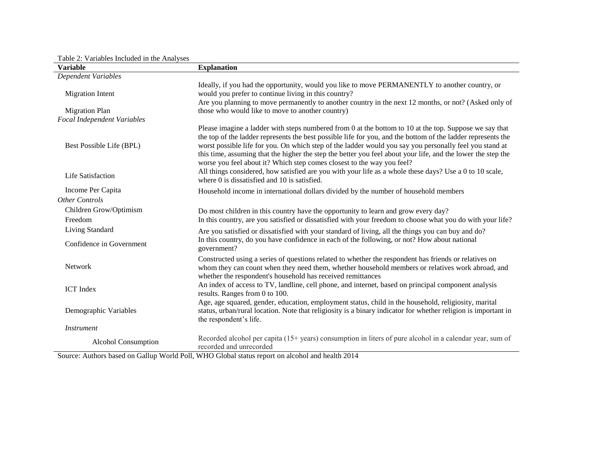| <b>Variable</b>             | <b>Explanation</b>                                                                                                                                                                                                                                                                                                                                                                                                                                                                                                          |
|-----------------------------|-----------------------------------------------------------------------------------------------------------------------------------------------------------------------------------------------------------------------------------------------------------------------------------------------------------------------------------------------------------------------------------------------------------------------------------------------------------------------------------------------------------------------------|
| <b>Dependent Variables</b>  |                                                                                                                                                                                                                                                                                                                                                                                                                                                                                                                             |
| <b>Migration Intent</b>     | Ideally, if you had the opportunity, would you like to move PERMANENTLY to another country, or<br>would you prefer to continue living in this country?                                                                                                                                                                                                                                                                                                                                                                      |
|                             | Are you planning to move permanently to another country in the next 12 months, or not? (Asked only of                                                                                                                                                                                                                                                                                                                                                                                                                       |
| <b>Migration Plan</b>       | those who would like to move to another country)                                                                                                                                                                                                                                                                                                                                                                                                                                                                            |
| Focal Independent Variables |                                                                                                                                                                                                                                                                                                                                                                                                                                                                                                                             |
| Best Possible Life (BPL)    | Please imagine a ladder with steps numbered from 0 at the bottom to 10 at the top. Suppose we say that<br>the top of the ladder represents the best possible life for you, and the bottom of the ladder represents the<br>worst possible life for you. On which step of the ladder would you say you personally feel you stand at<br>this time, assuming that the higher the step the better you feel about your life, and the lower the step the<br>worse you feel about it? Which step comes closest to the way you feel? |
| Life Satisfaction           | All things considered, how satisfied are you with your life as a whole these days? Use a 0 to 10 scale,<br>where 0 is dissatisfied and 10 is satisfied.                                                                                                                                                                                                                                                                                                                                                                     |
| Income Per Capita           | Household income in international dollars divided by the number of household members                                                                                                                                                                                                                                                                                                                                                                                                                                        |
| <b>Other Controls</b>       |                                                                                                                                                                                                                                                                                                                                                                                                                                                                                                                             |
| Children Grow/Optimism      | Do most children in this country have the opportunity to learn and grow every day?                                                                                                                                                                                                                                                                                                                                                                                                                                          |
| Freedom                     | In this country, are you satisfied or dissatisfied with your freedom to choose what you do with your life?                                                                                                                                                                                                                                                                                                                                                                                                                  |
| Living Standard             | Are you satisfied or dissatisfied with your standard of living, all the things you can buy and do?                                                                                                                                                                                                                                                                                                                                                                                                                          |
| Confidence in Government    | In this country, do you have confidence in each of the following, or not? How about national<br>government?                                                                                                                                                                                                                                                                                                                                                                                                                 |
| Network                     | Constructed using a series of questions related to whether the respondent has friends or relatives on<br>whom they can count when they need them, whether household members or relatives work abroad, and<br>whether the respondent's household has received remittances                                                                                                                                                                                                                                                    |
| <b>ICT</b> Index            | An index of access to TV, landline, cell phone, and internet, based on principal component analysis<br>results. Ranges from 0 to 100.                                                                                                                                                                                                                                                                                                                                                                                       |
| Demographic Variables       | Age, age squared, gender, education, employment status, child in the household, religiosity, marital<br>status, urban/rural location. Note that religiosity is a binary indicator for whether religion is important in<br>the respondent's life.                                                                                                                                                                                                                                                                            |
| <b>Instrument</b>           |                                                                                                                                                                                                                                                                                                                                                                                                                                                                                                                             |
| Alcohol Consumption         | Recorded alcohol per capita (15+ years) consumption in liters of pure alcohol in a calendar year, sum of<br>recorded and unrecorded                                                                                                                                                                                                                                                                                                                                                                                         |

Table 2: Variables Included in the Analyses

Source: Authors based on Gallup World Poll, WHO Global status report on alcohol and health 2014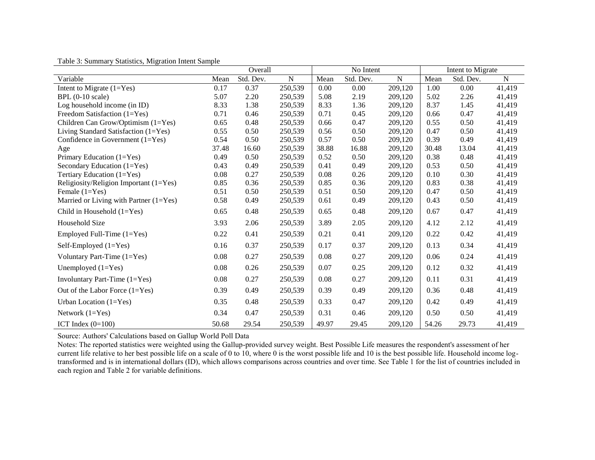|                                          | Overall |           | No Intent      |       |           | Intent to Migrate |       |           |                |
|------------------------------------------|---------|-----------|----------------|-------|-----------|-------------------|-------|-----------|----------------|
| Variable                                 | Mean    | Std. Dev. | $\overline{N}$ | Mean  | Std. Dev. | $\overline{N}$    | Mean  | Std. Dev. | $\overline{N}$ |
| Intent to Migrate $(1=Yes)$              | 0.17    | 0.37      | 250,539        | 0.00  | 0.00      | 209,120           | 1.00  | 0.00      | 41,419         |
| $BPL(0-10 scale)$                        | 5.07    | 2.20      | 250,539        | 5.08  | 2.19      | 209,120           | 5.02  | 2.26      | 41,419         |
| Log household income (in ID)             | 8.33    | 1.38      | 250,539        | 8.33  | 1.36      | 209,120           | 8.37  | 1.45      | 41,419         |
| Freedom Satisfaction (1=Yes)             | 0.71    | 0.46      | 250,539        | 0.71  | 0.45      | 209,120           | 0.66  | 0.47      | 41,419         |
| Children Can Grow/Optimism (1=Yes)       | 0.65    | 0.48      | 250,539        | 0.66  | 0.47      | 209,120           | 0.55  | 0.50      | 41,419         |
| Living Standard Satisfaction (1=Yes)     | 0.55    | 0.50      | 250,539        | 0.56  | 0.50      | 209,120           | 0.47  | 0.50      | 41,419         |
| Confidence in Government $(1=Yes)$       | 0.54    | 0.50      | 250,539        | 0.57  | 0.50      | 209,120           | 0.39  | 0.49      | 41,419         |
| Age                                      | 37.48   | 16.60     | 250,539        | 38.88 | 16.88     | 209,120           | 30.48 | 13.04     | 41,419         |
| Primary Education $(1=Yes)$              | 0.49    | 0.50      | 250,539        | 0.52  | 0.50      | 209,120           | 0.38  | 0.48      | 41,419         |
| Secondary Education (1=Yes)              | 0.43    | 0.49      | 250,539        | 0.41  | 0.49      | 209,120           | 0.53  | 0.50      | 41,419         |
| Tertiary Education (1=Yes)               | 0.08    | 0.27      | 250,539        | 0.08  | 0.26      | 209,120           | 0.10  | 0.30      | 41,419         |
| Religiosity/Religion Important (1=Yes)   | 0.85    | 0.36      | 250,539        | 0.85  | 0.36      | 209,120           | 0.83  | 0.38      | 41,419         |
| Female $(1=Yes)$                         | 0.51    | 0.50      | 250,539        | 0.51  | 0.50      | 209,120           | 0.47  | 0.50      | 41,419         |
| Married or Living with Partner $(1=Yes)$ | 0.58    | 0.49      | 250,539        | 0.61  | 0.49      | 209,120           | 0.43  | 0.50      | 41,419         |
| Child in Household (1=Yes)               | 0.65    | 0.48      | 250,539        | 0.65  | 0.48      | 209,120           | 0.67  | 0.47      | 41,419         |
| Household Size                           | 3.93    | 2.06      | 250,539        | 3.89  | 2.05      | 209,120           | 4.12  | 2.12      | 41,419         |
| Employed Full-Time (1=Yes)               | 0.22    | 0.41      | 250,539        | 0.21  | 0.41      | 209,120           | 0.22  | 0.42      | 41,419         |
| Self-Employed $(1=Yes)$                  | 0.16    | 0.37      | 250,539        | 0.17  | 0.37      | 209,120           | 0.13  | 0.34      | 41,419         |
| Voluntary Part-Time (1=Yes)              | 0.08    | 0.27      | 250,539        | 0.08  | 0.27      | 209,120           | 0.06  | 0.24      | 41,419         |
| Unemployed $(1=Yes)$                     | 0.08    | 0.26      | 250,539        | 0.07  | 0.25      | 209,120           | 0.12  | 0.32      | 41,419         |
| Involuntary Part-Time $(1=Yes)$          | 0.08    | 0.27      | 250,539        | 0.08  | 0.27      | 209,120           | 0.11  | 0.31      | 41,419         |
| Out of the Labor Force $(1=Yes)$         | 0.39    | 0.49      | 250,539        | 0.39  | 0.49      | 209,120           | 0.36  | 0.48      | 41,419         |
| Urban Location $(1=Yes)$                 | 0.35    | 0.48      | 250,539        | 0.33  | 0.47      | 209,120           | 0.42  | 0.49      | 41,419         |
| Network $(1=Yes)$                        | 0.34    | 0.47      | 250,539        | 0.31  | 0.46      | 209,120           | 0.50  | 0.50      | 41,419         |
| ICT Index $(0=100)$                      | 50.68   | 29.54     | 250,539        | 49.97 | 29.45     | 209,120           | 54.26 | 29.73     | 41,419         |

Table 3: Summary Statistics, Migration Intent Sample

Source: Authors' Calculations based on Gallup World Poll Data

Notes: The reported statistics were weighted using the Gallup-provided survey weight. Best Possible Life measures the respondent's assessment of her current life relative to her best possible life on a scale of 0 to 10, where 0 is the worst possible life and 10 is the best possible life. Household income logtransformed and is in international dollars (ID), which allows comparisons across countries and over time. See Table 1 for the list of countries included in each region and Table 2 for variable definitions.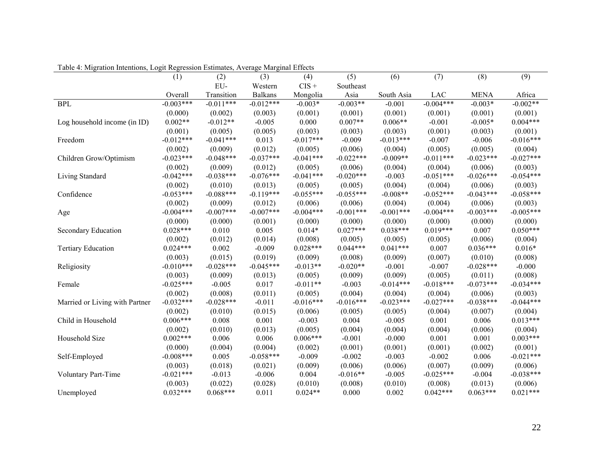| Tuble 1. <b>Migration intentions</b> , Logic Regression Estimates, <i>Terenage</i> mai ginar Effects |             |             |                |             |             |             |             |             |             |
|------------------------------------------------------------------------------------------------------|-------------|-------------|----------------|-------------|-------------|-------------|-------------|-------------|-------------|
|                                                                                                      | (1)         | (2)         | (3)            | (4)         | (5)         | (6)         | (7)         | (8)         | (9)         |
|                                                                                                      |             | EU-         | Western        | $CIS +$     | Southeast   |             |             |             |             |
|                                                                                                      | Overall     | Transition  | <b>Balkans</b> | Mongolia    | Asia        | South Asia  | <b>LAC</b>  | <b>MENA</b> | Africa      |
| <b>BPL</b>                                                                                           | $-0.003***$ | $-0.011***$ | $-0.012***$    | $-0.003*$   | $-0.003**$  | $-0.001$    | $-0.004***$ | $-0.003*$   | $-0.002**$  |
|                                                                                                      | (0.000)     | (0.002)     | (0.003)        | (0.001)     | (0.001)     | (0.001)     | (0.001)     | (0.001)     | (0.001)     |
| Log household income (in ID)                                                                         | $0.002**$   | $-0.012**$  | $-0.005$       | 0.000       | $0.007**$   | $0.006**$   | $-0.001$    | $-0.005*$   | $0.004***$  |
|                                                                                                      | (0.001)     | (0.005)     | (0.005)        | (0.003)     | (0.003)     | (0.003)     | (0.001)     | (0.003)     | (0.001)     |
| Freedom                                                                                              | $-0.012***$ | $-0.041***$ | 0.013          | $-0.017***$ | $-0.009$    | $-0.013***$ | $-0.007$    | $-0.006$    | $-0.016***$ |
|                                                                                                      | (0.002)     | (0.009)     | (0.012)        | (0.005)     | (0.006)     | (0.004)     | (0.005)     | (0.005)     | (0.004)     |
| Children Grow/Optimism                                                                               | $-0.023***$ | $-0.048***$ | $-0.037***$    | $-0.041***$ | $-0.022***$ | $-0.009**$  | $-0.011***$ | $-0.023***$ | $-0.027***$ |
|                                                                                                      | (0.002)     | (0.009)     | (0.012)        | (0.005)     | (0.006)     | (0.004)     | (0.004)     | (0.006)     | (0.003)     |
| Living Standard                                                                                      | $-0.042***$ | $-0.038***$ | $-0.076***$    | $-0.041***$ | $-0.020***$ | $-0.003$    | $-0.051***$ | $-0.026***$ | $-0.054***$ |
|                                                                                                      | (0.002)     | (0.010)     | (0.013)        | (0.005)     | (0.005)     | (0.004)     | (0.004)     | (0.006)     | (0.003)     |
| Confidence                                                                                           | $-0.053***$ | $-0.088***$ | $-0.119***$    | $-0.055***$ | $-0.055***$ | $-0.008**$  | $-0.052***$ | $-0.043***$ | $-0.058***$ |
|                                                                                                      | (0.002)     | (0.009)     | (0.012)        | (0.006)     | (0.006)     | (0.004)     | (0.004)     | (0.006)     | (0.003)     |
| Age                                                                                                  | $-0.004***$ | $-0.007***$ | $-0.007***$    | $-0.004***$ | $-0.001***$ | $-0.001***$ | $-0.004***$ | $-0.003***$ | $-0.005***$ |
|                                                                                                      | (0.000)     | (0.000)     | (0.001)        | (0.000)     | (0.000)     | (0.000)     | (0.000)     | (0.000)     | (0.000)     |
| Secondary Education                                                                                  | $0.028***$  | 0.010       | 0.005          | $0.014*$    | $0.027***$  | $0.038***$  | $0.019***$  | 0.007       | $0.050***$  |
|                                                                                                      | (0.002)     | (0.012)     | (0.014)        | (0.008)     | (0.005)     | (0.005)     | (0.005)     | (0.006)     | (0.004)     |
| <b>Tertiary Education</b>                                                                            | $0.024***$  | 0.002       | $-0.009$       | $0.028***$  | $0.044***$  | $0.041***$  | 0.007       | $0.036***$  | $0.016*$    |
|                                                                                                      | (0.003)     | (0.015)     | (0.019)        | (0.009)     | (0.008)     | (0.009)     | (0.007)     | (0.010)     | (0.008)     |
| Religiosity                                                                                          | $-0.010***$ | $-0.028***$ | $-0.045***$    | $-0.013**$  | $-0.020**$  | $-0.001$    | $-0.007$    | $-0.028***$ | $-0.000$    |
|                                                                                                      | (0.003)     | (0.009)     | (0.013)        | (0.005)     | (0.009)     | (0.009)     | (0.005)     | (0.011)     | (0.008)     |
| Female                                                                                               | $-0.025***$ | $-0.005$    | 0.017          | $-0.011**$  | $-0.003$    | $-0.014***$ | $-0.018***$ | $-0.073***$ | $-0.034***$ |
|                                                                                                      | (0.002)     | (0.008)     | (0.011)        | (0.005)     | (0.004)     | (0.004)     | (0.004)     | (0.006)     | (0.003)     |
| Married or Living with Partner                                                                       | $-0.032***$ | $-0.028***$ | $-0.011$       | $-0.016***$ | $-0.016***$ | $-0.023***$ | $-0.027***$ | $-0.038***$ | $-0.044***$ |
|                                                                                                      | (0.002)     | (0.010)     | (0.015)        | (0.006)     | (0.005)     | (0.005)     | (0.004)     | (0.007)     | (0.004)     |
| Child in Household                                                                                   | $0.006***$  | 0.008       | 0.001          | $-0.003$    | 0.004       | $-0.005$    | 0.001       | 0.006       | $0.013***$  |
|                                                                                                      | (0.002)     | (0.010)     | (0.013)        | (0.005)     | (0.004)     | (0.004)     | (0.004)     | (0.006)     | (0.004)     |
| Household Size                                                                                       | $0.002***$  | 0.006       | 0.006          | $0.006***$  | $-0.001$    | $-0.000$    | 0.001       | 0.001       | $0.003***$  |
|                                                                                                      | (0.000)     | (0.004)     | (0.004)        | (0.002)     | (0.001)     | (0.001)     | (0.001)     | (0.002)     | (0.001)     |
| Self-Employed                                                                                        | $-0.008***$ | 0.005       | $-0.058***$    | $-0.009$    | $-0.002$    | $-0.003$    | $-0.002$    | 0.006       | $-0.021***$ |
|                                                                                                      | (0.003)     | (0.018)     | (0.021)        | (0.009)     | (0.006)     | (0.006)     | (0.007)     | (0.009)     | (0.006)     |
| Voluntary Part-Time                                                                                  | $-0.021***$ | $-0.013$    | $-0.006$       | 0.004       | $-0.016**$  | $-0.005$    | $-0.025***$ | $-0.004$    | $-0.038***$ |
|                                                                                                      | (0.003)     | (0.022)     | (0.028)        | (0.010)     | (0.008)     | (0.010)     | (0.008)     | (0.013)     | (0.006)     |
| Unemployed                                                                                           | $0.032***$  | $0.068***$  | 0.011          | $0.024**$   | 0.000       | 0.002       | $0.042***$  | $0.063***$  | $0.021***$  |

Table 4: Migration Intentions, Logit Regression Estimates, Average Marginal Effects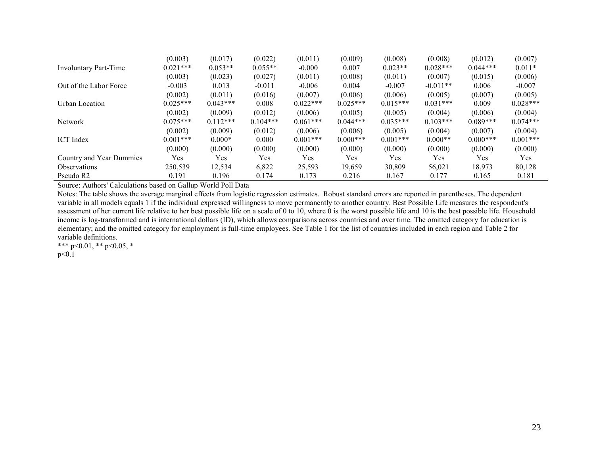|                          | (0.003)    | (0.017)    | (0.022)    | (0.011)     | (0.009)    | (0.008)    | (0.008)    | (0.012)    | (0.007)    |
|--------------------------|------------|------------|------------|-------------|------------|------------|------------|------------|------------|
| Involuntary Part-Time    | $0.021***$ | $0.053**$  | $0.055**$  | $-0.000$    | 0.007      | $0.023**$  | $0.028***$ | $0.044***$ | $0.011*$   |
|                          | (0.003)    | (0.023)    | (0.027)    | (0.011)     | (0.008)    | (0.011)    | (0.007)    | (0.015)    | (0.006)    |
| Out of the Labor Force   | $-0.003$   | 0.013      | $-0.011$   | $-0.006$    | 0.004      | $-0.007$   | $-0.011**$ | 0.006      | $-0.007$   |
|                          | (0.002)    | (0.011)    | (0.016)    | (0.007)     | (0.006)    | (0.006)    | (0.005)    | (0.007)    | (0.005)    |
| Urban Location           | $0.025***$ | $0.043***$ | 0.008      | $0.022***$  | $0.025***$ | $0.015***$ | $0.031***$ | 0.009      | $0.028***$ |
|                          | (0.002)    | (0.009)    | (0.012)    | (0.006)     | (0.005)    | (0.005)    | (0.004)    | (0.006)    | (0.004)    |
| Network                  | $0.075***$ | $0.112***$ | $0.104***$ | $0.061***$  | $0.044***$ | $0.035***$ | $0.103***$ | $0.089***$ | $0.074***$ |
|                          | (0.002)    | (0.009)    | (0.012)    | (0.006)     | (0.006)    | (0.005)    | (0.004)    | (0.007)    | (0.004)    |
| <b>ICT</b> Index         | $0.001***$ | $0.000*$   | 0.000      | $0.001$ *** | $0.000***$ | $0.001***$ | $0.000**$  | $0.000***$ | $0.001***$ |
|                          | (0.000)    | (0.000)    | (0.000)    | (0.000)     | (0.000)    | (0.000)    | (0.000)    | (0.000)    | (0.000)    |
| Country and Year Dummies | Yes        | Yes        | Yes        | Yes         | Yes        | Yes        | Yes        | Yes        | Yes        |
| <b>Observations</b>      | 250,539    | 12,534     | 6,822      | 25,593      | 19,659     | 30,809     | 56,021     | 18,973     | 80,128     |
| Pseudo R <sub>2</sub>    | 0.191      | 0.196      | 0.174      | 0.173       | 0.216      | 0.167      | 0.177      | 0.165      | 0.181      |

Source: Authors' Calculations based on Gallup World Poll Data

Notes: The table shows the average marginal effects from logistic regression estimates. Robust standard errors are reported in parentheses. The dependent variable in all models equals 1 if the individual expressed willingness to move permanently to another country. Best Possible Life measures the respondent's assessment of her current life relative to her best possible life on a scale of 0 to 10, where 0 is the worst possible life and 10 is the best possible life. Household income is log-transformed and is international dollars (ID), which allows comparisons across countries and over time. The omitted category for education is elementary; and the omitted category for employment is full-time employees. See Table 1 for the list of countries included in each region and Table 2 for variable definitions.

\*\*\* p<0.01, \*\* p<0.05, \* p<0.1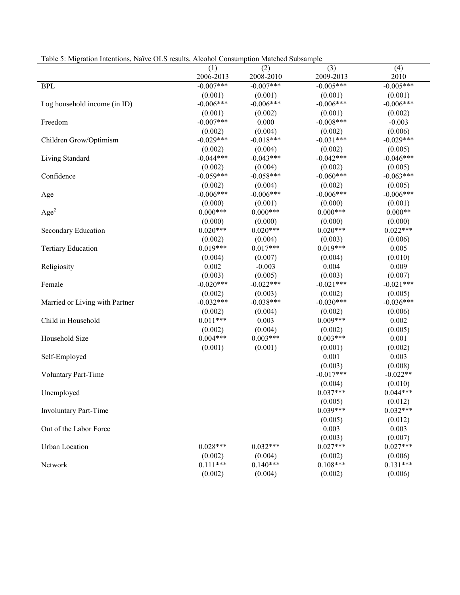| Table 5: Migration Intentions, Naïve OLS results, Alcohol Consumption Matched Subsample |  |  |
|-----------------------------------------------------------------------------------------|--|--|
|                                                                                         |  |  |

|                                | (1)         | (2)         | (3)         | (4)         |
|--------------------------------|-------------|-------------|-------------|-------------|
|                                | 2006-2013   | 2008-2010   | 2009-2013   | 2010        |
| <b>BPL</b>                     | $-0.007***$ | $-0.007***$ | $-0.005***$ | $-0.005***$ |
|                                | (0.001)     | (0.001)     | (0.001)     | (0.001)     |
| Log household income (in ID)   | $-0.006***$ | $-0.006***$ | $-0.006***$ | $-0.006***$ |
|                                | (0.001)     | (0.002)     | (0.001)     | (0.002)     |
| Freedom                        | $-0.007***$ | 0.000       | $-0.008***$ | $-0.003$    |
|                                | (0.002)     | (0.004)     | (0.002)     | (0.006)     |
| Children Grow/Optimism         | $-0.029***$ | $-0.018***$ | $-0.031***$ | $-0.029***$ |
|                                | (0.002)     | (0.004)     | (0.002)     | (0.005)     |
| Living Standard                | $-0.044***$ | $-0.043***$ | $-0.042***$ | $-0.046***$ |
|                                | (0.002)     | (0.004)     | (0.002)     | (0.005)     |
| Confidence                     | $-0.059***$ | $-0.058***$ | $-0.060***$ | $-0.063***$ |
|                                | (0.002)     | (0.004)     | (0.002)     | (0.005)     |
| Age                            | $-0.006***$ | $-0.006***$ | $-0.006***$ | $-0.006***$ |
|                                | (0.000)     | (0.001)     | (0.000)     | (0.001)     |
| Age <sup>2</sup>               | $0.000***$  | $0.000***$  | $0.000***$  | $0.000**$   |
|                                | (0.000)     | (0.000)     | (0.000)     | (0.000)     |
| Secondary Education            | $0.020***$  | $0.020***$  | $0.020***$  | $0.022***$  |
|                                | (0.002)     | (0.004)     | (0.003)     | (0.006)     |
| <b>Tertiary Education</b>      | $0.019***$  | $0.017***$  | $0.019***$  | 0.005       |
|                                | (0.004)     | (0.007)     | (0.004)     | (0.010)     |
| Religiosity                    | 0.002       | $-0.003$    | 0.004       | 0.009       |
|                                | (0.003)     | (0.005)     | (0.003)     | (0.007)     |
| Female                         | $-0.020***$ | $-0.022***$ | $-0.021***$ | $-0.021***$ |
|                                | (0.002)     | (0.003)     | (0.002)     | (0.005)     |
| Married or Living with Partner | $-0.032***$ | $-0.038***$ | $-0.030***$ | $-0.036***$ |
|                                | (0.002)     | (0.004)     | (0.002)     | (0.006)     |
| Child in Household             | $0.011***$  | 0.003       | $0.009***$  | 0.002       |
|                                | (0.002)     | (0.004)     | (0.002)     | (0.005)     |
| Household Size                 | $0.004***$  | $0.003***$  | $0.003***$  | 0.001       |
|                                | (0.001)     | (0.001)     | (0.001)     | (0.002)     |
| Self-Employed                  |             |             | 0.001       | 0.003       |
|                                |             |             | (0.003)     | (0.008)     |
| <b>Voluntary Part-Time</b>     |             |             | $-0.017***$ | $-0.022**$  |
|                                |             |             | (0.004)     | (0.010)     |
| Unemployed                     |             |             | $0.037***$  | $0.044***$  |
|                                |             |             | (0.005)     | (0.012)     |
| <b>Involuntary Part-Time</b>   |             |             | $0.039***$  | $0.032***$  |
|                                |             |             | (0.005)     | (0.012)     |
| Out of the Labor Force         |             |             | 0.003       | 0.003       |
|                                |             |             | (0.003)     | (0.007)     |
| <b>Urban Location</b>          | $0.028***$  | $0.032***$  | $0.027***$  | $0.027***$  |
|                                | (0.002)     | (0.004)     | (0.002)     | (0.006)     |
| Network                        | $0.111***$  | $0.140***$  | $0.108***$  | $0.131***$  |
|                                | (0.002)     | (0.004)     | (0.002)     | (0.006)     |
|                                |             |             |             |             |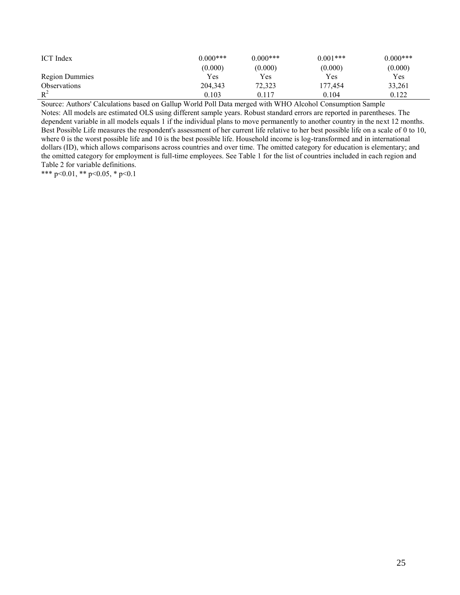| <b>ICT</b> Index      | $0.000***$ | $0.000***$ | $0.001***$ | $0.000***$ |
|-----------------------|------------|------------|------------|------------|
|                       | (0.000)    | (0.000)    | (0.000)    | (0.000)    |
| <b>Region Dummies</b> | Yes        | Yes        | Yes        | Yes        |
| <b>Observations</b>   | 204,343    | 72,323     | 177.454    | 33,261     |
| $R^2$                 | 0.103      | 0.117      | 0.104      | 0.122      |

Source: Authors' Calculations based on Gallup World Poll Data merged with WHO Alcohol Consumption Sample

Notes: All models are estimated OLS using different sample years. Robust standard errors are reported in parentheses. The dependent variable in all models equals 1 if the individual plans to move permanently to another country in the next 12 months. Best Possible Life measures the respondent's assessment of her current life relative to her best possible life on a scale of 0 to 10, where 0 is the worst possible life and 10 is the best possible life. Household income is log-transformed and in international dollars (ID), which allows comparisons across countries and over time. The omitted category for education is elementary; and the omitted category for employment is full-time employees. See Table 1 for the list of countries included in each region and Table 2 for variable definitions.

\*\*\* p<0.01, \*\* p<0.05, \* p<0.1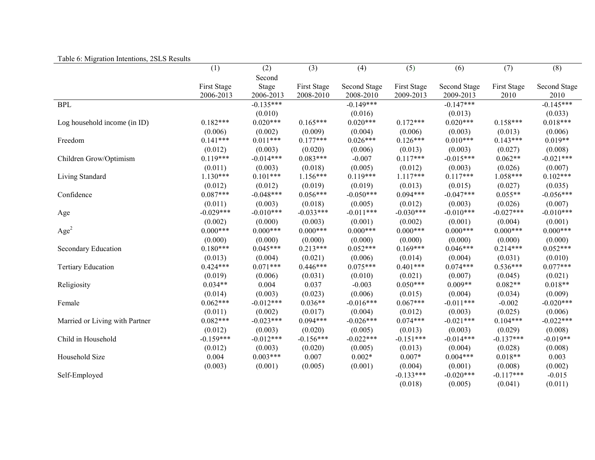| raone of <i>i</i> vinguation intentions, 2010 results | (1)         | (2)         | (3)         | (4)          | (5)         | (6)          | (7)         | (8)          |
|-------------------------------------------------------|-------------|-------------|-------------|--------------|-------------|--------------|-------------|--------------|
|                                                       |             | Second      |             |              |             |              |             |              |
|                                                       | First Stage | Stage       | First Stage | Second Stage | First Stage | Second Stage | First Stage | Second Stage |
|                                                       | 2006-2013   | 2006-2013   | 2008-2010   | 2008-2010    | 2009-2013   | 2009-2013    | 2010        | 2010         |
| <b>BPL</b>                                            |             | $-0.135***$ |             | $-0.149***$  |             | $-0.147***$  |             | $-0.145***$  |
|                                                       |             | (0.010)     |             | (0.016)      |             | (0.013)      |             | (0.033)      |
| Log household income (in ID)                          | $0.182***$  | $0.020***$  | $0.165***$  | $0.020***$   | $0.172***$  | $0.020***$   | $0.158***$  | $0.018***$   |
|                                                       | (0.006)     | (0.002)     | (0.009)     | (0.004)      | (0.006)     | (0.003)      | (0.013)     | (0.006)      |
| Freedom                                               | $0.141***$  | $0.011***$  | $0.177***$  | $0.026***$   | $0.126***$  | $0.010***$   | $0.143***$  | $0.019**$    |
|                                                       | (0.012)     | (0.003)     | (0.020)     | (0.006)      | (0.013)     | (0.003)      | (0.027)     | (0.008)      |
| Children Grow/Optimism                                | $0.119***$  | $-0.014***$ | $0.083***$  | $-0.007$     | $0.117***$  | $-0.015***$  | $0.062**$   | $-0.021***$  |
|                                                       | (0.011)     | (0.003)     | (0.018)     | (0.005)      | (0.012)     | (0.003)      | (0.026)     | (0.007)      |
| Living Standard                                       | $1.130***$  | $0.101***$  | $1.156***$  | $0.119***$   | $1.117***$  | $0.117***$   | $1.058***$  | $0.102***$   |
|                                                       | (0.012)     | (0.012)     | (0.019)     | (0.019)      | (0.013)     | (0.015)      | (0.027)     | (0.035)      |
| Confidence                                            | $0.087***$  | $-0.048***$ | $0.056***$  | $-0.050***$  | $0.094***$  | $-0.047***$  | $0.055**$   | $-0.056***$  |
|                                                       | (0.011)     | (0.003)     | (0.018)     | (0.005)      | (0.012)     | (0.003)      | (0.026)     | (0.007)      |
| Age                                                   | $-0.029***$ | $-0.010***$ | $-0.033***$ | $-0.011***$  | $-0.030***$ | $-0.010***$  | $-0.027***$ | $-0.010***$  |
|                                                       | (0.002)     | (0.000)     | (0.003)     | (0.001)      | (0.002)     | (0.001)      | (0.004)     | (0.001)      |
| Age <sup>2</sup>                                      | $0.000***$  | $0.000***$  | $0.000***$  | $0.000***$   | $0.000***$  | $0.000***$   | $0.000***$  | $0.000***$   |
|                                                       | (0.000)     | (0.000)     | (0.000)     | (0.000)      | (0.000)     | (0.000)      | (0.000)     | (0.000)      |
| Secondary Education                                   | $0.180***$  | $0.045***$  | $0.213***$  | $0.052***$   | $0.169***$  | $0.046***$   | $0.214***$  | $0.052***$   |
|                                                       | (0.013)     | (0.004)     | (0.021)     | (0.006)      | (0.014)     | (0.004)      | (0.031)     | (0.010)      |
| <b>Tertiary Education</b>                             | $0.424***$  | $0.071***$  | $0.446***$  | $0.075***$   | $0.401***$  | $0.074***$   | $0.536***$  | $0.077***$   |
|                                                       | (0.019)     | (0.006)     | (0.031)     | (0.010)      | (0.021)     | (0.007)      | (0.045)     | (0.021)      |
| Religiosity                                           | $0.034**$   | 0.004       | 0.037       | $-0.003$     | $0.050***$  | $0.009**$    | $0.082**$   | $0.018**$    |
|                                                       | (0.014)     | (0.003)     | (0.023)     | (0.006)      | (0.015)     | (0.004)      | (0.034)     | (0.009)      |
| Female                                                | $0.062***$  | $-0.012***$ | $0.036**$   | $-0.016***$  | $0.067***$  | $-0.011***$  | $-0.002$    | $-0.020***$  |
|                                                       | (0.011)     | (0.002)     | (0.017)     | (0.004)      | (0.012)     | (0.003)      | (0.025)     | (0.006)      |
| Married or Living with Partner                        | $0.082***$  | $-0.023***$ | $0.094***$  | $-0.026***$  | $0.074***$  | $-0.021***$  | $0.104***$  | $-0.022***$  |
|                                                       | (0.012)     | (0.003)     | (0.020)     | (0.005)      | (0.013)     | (0.003)      | (0.029)     | (0.008)      |
| Child in Household                                    | $-0.159***$ | $-0.012***$ | $-0.156***$ | $-0.022***$  | $-0.151***$ | $-0.014***$  | $-0.137***$ | $-0.019**$   |
|                                                       | (0.012)     | (0.003)     | (0.020)     | (0.005)      | (0.013)     | (0.004)      | (0.028)     | (0.008)      |
| Household Size                                        | 0.004       | $0.003***$  | 0.007       | $0.002*$     | $0.007*$    | $0.004***$   | $0.018**$   | 0.003        |
|                                                       | (0.003)     | (0.001)     | (0.005)     | (0.001)      | (0.004)     | (0.001)      | (0.008)     | (0.002)      |
| Self-Employed                                         |             |             |             |              | $-0.133***$ | $-0.020***$  | $-0.117***$ | $-0.015$     |
|                                                       |             |             |             |              | (0.018)     | (0.005)      | (0.041)     | (0.011)      |

## Table 6: Migration Intentions, 2SLS Results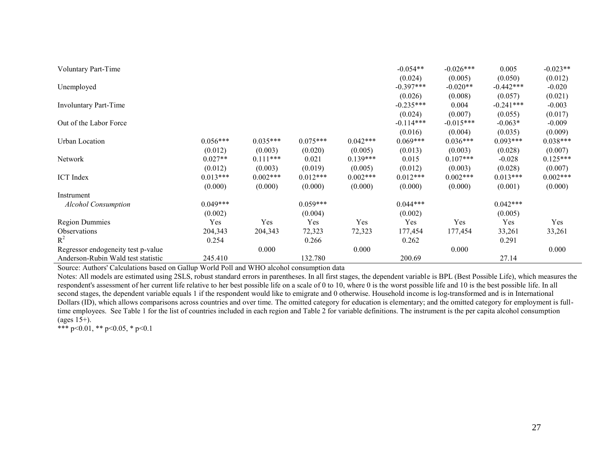| Voluntary Part-Time                |            |            |            |            | $-0.054**$  | $-0.026***$ | 0.005       | $-0.023**$ |
|------------------------------------|------------|------------|------------|------------|-------------|-------------|-------------|------------|
|                                    |            |            |            |            | (0.024)     | (0.005)     | (0.050)     | (0.012)    |
| Unemployed                         |            |            |            |            | $-0.397***$ | $-0.020**$  | $-0.442***$ | $-0.020$   |
|                                    |            |            |            |            | (0.026)     | (0.008)     | (0.057)     | (0.021)    |
| Involuntary Part-Time              |            |            |            |            | $-0.235***$ | 0.004       | $-0.241***$ | $-0.003$   |
|                                    |            |            |            |            | (0.024)     | (0.007)     | (0.055)     | (0.017)    |
| Out of the Labor Force             |            |            |            |            | $-0.114***$ | $-0.015***$ | $-0.063*$   | $-0.009$   |
|                                    |            |            |            |            | (0.016)     | (0.004)     | (0.035)     | (0.009)    |
| Urban Location                     | $0.056***$ | $0.035***$ | $0.075***$ | $0.042***$ | $0.069***$  | $0.036***$  | $0.093***$  | $0.038***$ |
|                                    | (0.012)    | (0.003)    | (0.020)    | (0.005)    | (0.013)     | (0.003)     | (0.028)     | (0.007)    |
| Network                            | $0.027**$  | $0.111***$ | 0.021      | $0.139***$ | 0.015       | $0.107***$  | $-0.028$    | $0.125***$ |
|                                    | (0.012)    | (0.003)    | (0.019)    | (0.005)    | (0.012)     | (0.003)     | (0.028)     | (0.007)    |
| <b>ICT</b> Index                   | $0.013***$ | $0.002***$ | $0.012***$ | $0.002***$ | $0.012***$  | $0.002***$  | $0.013***$  | $0.002***$ |
|                                    | (0.000)    | (0.000)    | (0.000)    | (0.000)    | (0.000)     | (0.000)     | (0.001)     | (0.000)    |
| Instrument                         |            |            |            |            |             |             |             |            |
| <b>Alcohol Consumption</b>         | $0.049***$ |            | $0.059***$ |            | $0.044***$  |             | $0.042***$  |            |
|                                    | (0.002)    |            | (0.004)    |            | (0.002)     |             | (0.005)     |            |
| <b>Region Dummies</b>              | Yes        | Yes        | Yes        | Yes        | Yes         | Yes         | Yes         | Yes        |
| <b>Observations</b>                | 204,343    | 204,343    | 72,323     | 72,323     | 177,454     | 177,454     | 33,261      | 33,261     |
| $R^2$                              | 0.254      |            | 0.266      |            | 0.262       |             | 0.291       |            |
| Regressor endogeneity test p-value |            | 0.000      |            | 0.000      |             | 0.000       |             | 0.000      |
| Anderson-Rubin Wald test statistic | 245.410    |            | 132.780    |            | 200.69      |             | 27.14       |            |

Source: Authors' Calculations based on Gallup World Poll and WHO alcohol consumption data

Notes: All models are estimated using 2SLS, robust standard errors in parentheses. In all first stages, the dependent variable is BPL (Best Possible Life), which measures the respondent's assessment of her current life relative to her best possible life on a scale of 0 to 10, where 0 is the worst possible life and 10 is the best possible life. In all second stages, the dependent variable equals 1 if the respondent would like to emigrate and 0 otherwise. Household income is log-transformed and is in International Dollars (ID), which allows comparisons across countries and over time. The omitted category for education is elementary; and the omitted category for employment is fulltime employees. See Table 1 for the list of countries included in each region and Table 2 for variable definitions. The instrument is the per capita alcohol consumption (ages  $15+$ ).

\*\*\* p<0.01, \*\* p<0.05, \* p<0.1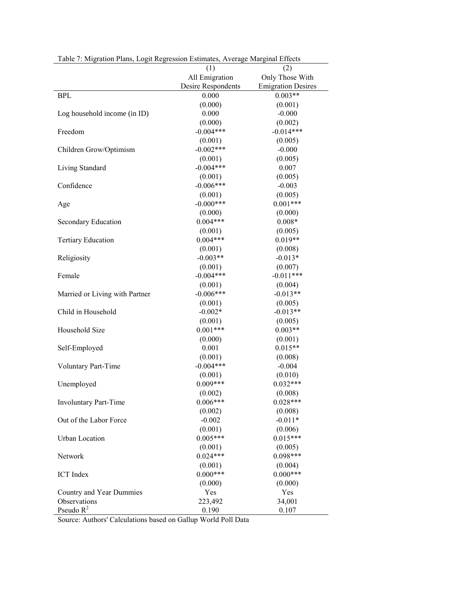| raoit 7. mighthon i ntho, Eogh Rogi coston Estimates, 7. refuge marginar Enterts | (1)                    | (2)                       |
|----------------------------------------------------------------------------------|------------------------|---------------------------|
|                                                                                  | All Emigration         | Only Those With           |
|                                                                                  | Desire Respondents     | <b>Emigration Desires</b> |
| <b>BPL</b>                                                                       | $0.000\,$              | $0.003**$                 |
|                                                                                  |                        |                           |
|                                                                                  | (0.000)<br>0.000       | (0.001)<br>$-0.000$       |
| Log household income (in ID)                                                     |                        |                           |
|                                                                                  | (0.000)                | (0.002)                   |
| Freedom                                                                          | $-0.004***$            | $-0.014***$               |
|                                                                                  | (0.001)<br>$-0.002***$ | (0.005)                   |
| Children Grow/Optimism                                                           |                        | $-0.000$                  |
|                                                                                  | (0.001)                | (0.005)                   |
| Living Standard                                                                  | $-0.004***$            | 0.007                     |
|                                                                                  | (0.001)                | (0.005)                   |
| Confidence                                                                       | $-0.006***$            | $-0.003$                  |
|                                                                                  | (0.001)                | (0.005)                   |
| Age                                                                              | $-0.000***$            | $0.001***$                |
|                                                                                  | (0.000)                | (0.000)                   |
| Secondary Education                                                              | $0.004***$             | $0.008*$                  |
|                                                                                  | (0.001)                | (0.005)                   |
| <b>Tertiary Education</b>                                                        | $0.004***$             | $0.019**$                 |
|                                                                                  | (0.001)                | (0.008)                   |
| Religiosity                                                                      | $-0.003**$             | $-0.013*$                 |
|                                                                                  | (0.001)                | (0.007)                   |
| Female                                                                           | $-0.004***$            | $-0.011***$               |
|                                                                                  | (0.001)                | (0.004)                   |
| Married or Living with Partner                                                   | $-0.006***$            | $-0.013**$                |
|                                                                                  | (0.001)                | (0.005)                   |
| Child in Household                                                               | $-0.002*$              | $-0.013**$                |
|                                                                                  | (0.001)                | (0.005)                   |
| Household Size                                                                   | $0.001***$             | $0.003**$                 |
|                                                                                  | (0.000)                | (0.001)                   |
| Self-Employed                                                                    | 0.001                  | $0.015**$                 |
|                                                                                  | (0.001)                | (0.008)                   |
| Voluntary Part-Time                                                              | $-0.004***$            | $-0.004$                  |
|                                                                                  | (0.001)                | (0.010)                   |
| Unemployed                                                                       | $0.009***$             | $0.032***$                |
|                                                                                  | (0.002)                | (0.008)                   |
| <b>Involuntary Part-Time</b>                                                     | $0.006***$             | $0.028***$                |
|                                                                                  | (0.002)                | (0.008)                   |
| Out of the Labor Force                                                           | $-0.002$               | $-0.011*$                 |
|                                                                                  | (0.001)                | (0.006)                   |
| <b>Urban Location</b>                                                            | $0.005***$             | $0.015***$                |
|                                                                                  | (0.001)                | (0.005)                   |
| Network                                                                          | $0.024***$             | $0.098***$                |
|                                                                                  | (0.001)                | (0.004)                   |
| <b>ICT</b> Index                                                                 | $0.000***$             | $0.000***$                |
|                                                                                  | (0.000)                | (0.000)                   |
| Country and Year Dummies                                                         | Yes                    | Yes                       |
| Observations                                                                     | 223,492                | 34,001                    |
| Pseudo $R^2$                                                                     | 0.190                  | 0.107                     |

Table 7: Migration Plans, Logit Regression Estimates, Average Marginal Effects

Source: Authors' Calculations based on Gallup World Poll Data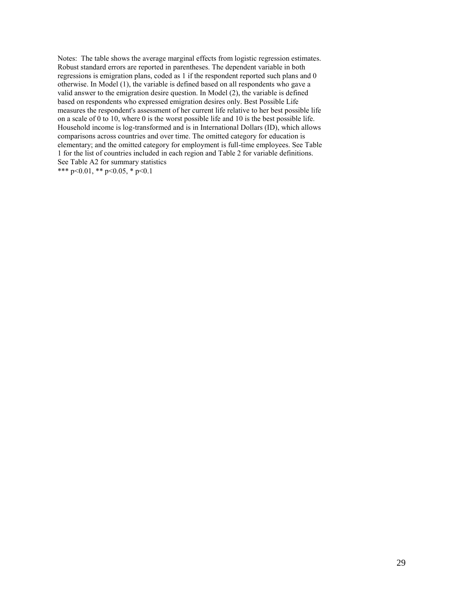Notes: The table shows the average marginal effects from logistic regression estimates. Robust standard errors are reported in parentheses. The dependent variable in both regressions is emigration plans, coded as 1 if the respondent reported such plans and 0 otherwise. In Model (1), the variable is defined based on all respondents who gave a valid answer to the emigration desire question. In Model (2), the variable is defined based on respondents who expressed emigration desires only. Best Possible Life measures the respondent's assessment of her current life relative to her best possible life on a scale of 0 to 10, where 0 is the worst possible life and 10 is the best possible life. Household income is log-transformed and is in International Dollars (ID), which allows comparisons across countries and over time. The omitted category for education is elementary; and the omitted category for employment is full-time employees. See Table 1 for the list of countries included in each region and Table 2 for variable definitions. See Table A2 for summary statistics

\*\*\* p<0.01, \*\* p<0.05, \* p<0.1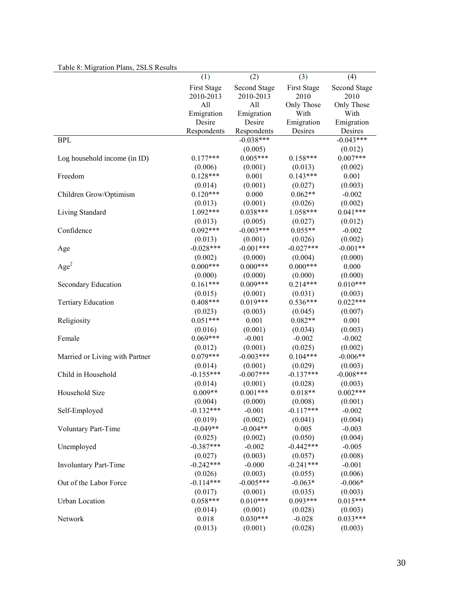| I avie of ivilgration Fians, 2513 Results |             |              |             |              |
|-------------------------------------------|-------------|--------------|-------------|--------------|
|                                           | (1)         | (2)          | (3)         | (4)          |
|                                           | First Stage | Second Stage | First Stage | Second Stage |
|                                           | 2010-2013   | 2010-2013    | 2010        | 2010         |
|                                           | All         | All          | Only Those  | Only Those   |
|                                           | Emigration  | Emigration   | With        | With         |
|                                           | Desire      | Desire       | Emigration  | Emigration   |
|                                           | Respondents | Respondents  | Desires     | Desires      |
| <b>BPL</b>                                |             | $-0.038***$  |             | $-0.043***$  |
|                                           |             | (0.005)      |             | (0.012)      |
| Log household income (in ID)              | $0.177***$  | $0.005***$   | $0.158***$  | $0.007***$   |
|                                           | (0.006)     | (0.001)      | (0.013)     | (0.002)      |
| Freedom                                   | $0.128***$  | 0.001        | $0.143***$  | 0.001        |
|                                           | (0.014)     | (0.001)      | (0.027)     | (0.003)      |
| Children Grow/Optimism                    | $0.120***$  | 0.000        | $0.062**$   | $-0.002$     |
|                                           | (0.013)     | (0.001)      | (0.026)     | (0.002)      |
| Living Standard                           | $1.092***$  | $0.038***$   | $1.058***$  | $0.041***$   |
|                                           | (0.013)     | (0.005)      | (0.027)     | (0.012)      |
| Confidence                                | $0.092***$  | $-0.003***$  | $0.055**$   | $-0.002$     |
|                                           | (0.013)     | (0.001)      | (0.026)     | (0.002)      |
| Age                                       | $-0.028***$ | $-0.001***$  | $-0.027***$ | $-0.001**$   |
|                                           | (0.002)     | (0.000)      | (0.004)     | (0.000)      |
| Age <sup>2</sup>                          | $0.000***$  | $0.000***$   | $0.000***$  | 0.000        |
|                                           | (0.000)     | (0.000)      | (0.000)     | (0.000)      |
| Secondary Education                       | $0.161***$  | $0.009***$   | $0.214***$  | $0.010***$   |
|                                           | (0.015)     | (0.001)      | (0.031)     | (0.003)      |
| <b>Tertiary Education</b>                 | $0.408***$  | $0.019***$   | $0.536***$  | $0.022***$   |
|                                           | (0.023)     | (0.003)      | (0.045)     | (0.007)      |
| Religiosity                               | $0.051***$  | 0.001        | $0.082**$   | 0.001        |
|                                           | (0.016)     | (0.001)      | (0.034)     | (0.003)      |
| Female                                    | $0.069***$  | $-0.001$     | $-0.002$    | $-0.002$     |
|                                           | (0.012)     | (0.001)      | (0.025)     | (0.002)      |
| Married or Living with Partner            | $0.079***$  | $-0.003***$  | $0.104***$  | $-0.006**$   |
|                                           | (0.014)     | (0.001)      | (0.029)     | (0.003)      |
| Child in Household                        | $-0.155***$ | $-0.007***$  | $-0.137***$ | $-0.008***$  |
|                                           | (0.014)     | (0.001)      | (0.028)     | (0.003)      |
| Household Size                            | $0.009**$   | $0.001***$   | $0.018**$   | $0.002***$   |
|                                           | (0.004)     | (0.000)      | (0.008)     | (0.001)      |
| Self-Employed                             | $-0.132***$ | $-0.001$     | $-0.117***$ | $-0.002$     |
|                                           | (0.019)     | (0.002)      | (0.041)     | (0.004)      |
| Voluntary Part-Time                       | $-0.049**$  | $-0.004**$   | 0.005       | $-0.003$     |
|                                           | (0.025)     | (0.002)      | (0.050)     | (0.004)      |
| Unemployed                                | $-0.387***$ | $-0.002$     | $-0.442***$ | $-0.005$     |
|                                           | (0.027)     | (0.003)      | (0.057)     | (0.008)      |
| Involuntary Part-Time                     | $-0.242***$ | $-0.000$     | $-0.241***$ | $-0.001$     |
|                                           | (0.026)     | (0.003)      | (0.055)     | (0.006)      |
| Out of the Labor Force                    | $-0.114***$ | $-0.005***$  | $-0.063*$   | $-0.006*$    |
|                                           | (0.017)     | (0.001)      | (0.035)     | (0.003)      |
| Urban Location                            | $0.058***$  | $0.010***$   | $0.093***$  | $0.015***$   |
|                                           | (0.014)     | (0.001)      | (0.028)     | (0.003)      |
| Network                                   | 0.018       | $0.030***$   | $-0.028$    | $0.033***$   |
|                                           | (0.013)     | (0.001)      | (0.028)     | (0.003)      |

# Table 8: Migration Plans, 2SLS Results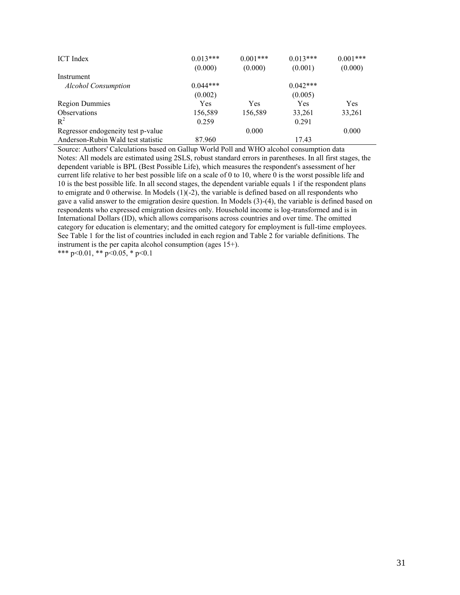| <b>ICT</b> Index                   | $0.013***$<br>(0.000) | $0.001***$<br>(0.000) | $0.013***$<br>(0.001) | $0.001***$<br>(0.000) |
|------------------------------------|-----------------------|-----------------------|-----------------------|-----------------------|
| Instrument                         |                       |                       |                       |                       |
| <b>Alcohol Consumption</b>         | $0.044***$            |                       | $0.042***$            |                       |
|                                    | (0.002)               |                       | (0.005)               |                       |
| <b>Region Dummies</b>              | Yes                   | Yes                   | Yes                   | <b>Yes</b>            |
| <b>Observations</b>                | 156,589               | 156,589               | 33,261                | 33,261                |
| $R^2$                              | 0.259                 |                       | 0.291                 |                       |
| Regressor endogeneity test p-value |                       | 0.000                 |                       | 0.000                 |
| Anderson-Rubin Wald test statistic | 87.960                |                       | 17.43                 |                       |

Source: Authors' Calculations based on Gallup World Poll and WHO alcohol consumption data Notes: All models are estimated using 2SLS, robust standard errors in parentheses. In all first stages, the dependent variable is BPL (Best Possible Life), which measures the respondent's assessment of her current life relative to her best possible life on a scale of 0 to 10, where 0 is the worst possible life and 10 is the best possible life. In all second stages, the dependent variable equals 1 if the respondent plans to emigrate and 0 otherwise. In Models  $(1)(-2)$ , the variable is defined based on all respondents who gave a valid answer to the emigration desire question. In Models (3)-(4), the variable is defined based on respondents who expressed emigration desires only. Household income is log-transformed and is in International Dollars (ID), which allows comparisons across countries and over time. The omitted category for education is elementary; and the omitted category for employment is full-time employees. See Table 1 for the list of countries included in each region and Table 2 for variable definitions. The instrument is the per capita alcohol consumption (ages 15+).

\*\*\* p<0.01, \*\* p<0.05, \* p<0.1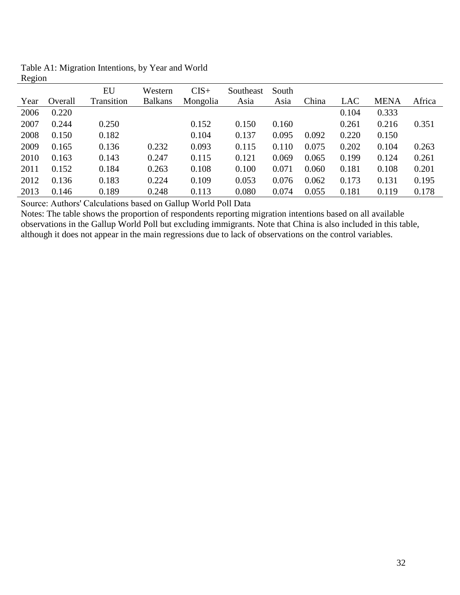| ັ<br>Year | Overall | EU<br>Transition | Western<br><b>Balkans</b> | $CIS+$<br>Mongolia | Southeast<br>Asia | South<br>Asia | China | LAC   | <b>MENA</b> | Africa |
|-----------|---------|------------------|---------------------------|--------------------|-------------------|---------------|-------|-------|-------------|--------|
|           |         |                  |                           |                    |                   |               |       |       |             |        |
| 2006      | 0.220   |                  |                           |                    |                   |               |       | 0.104 | 0.333       |        |
| 2007      | 0.244   | 0.250            |                           | 0.152              | 0.150             | 0.160         |       | 0.261 | 0.216       | 0.351  |
| 2008      | 0.150   | 0.182            |                           | 0.104              | 0.137             | 0.095         | 0.092 | 0.220 | 0.150       |        |
| 2009      | 0.165   | 0.136            | 0.232                     | 0.093              | 0.115             | 0.110         | 0.075 | 0.202 | 0.104       | 0.263  |
| 2010      | 0.163   | 0.143            | 0.247                     | 0.115              | 0.121             | 0.069         | 0.065 | 0.199 | 0.124       | 0.261  |
| 2011      | 0.152   | 0.184            | 0.263                     | 0.108              | 0.100             | 0.071         | 0.060 | 0.181 | 0.108       | 0.201  |
| 2012      | 0.136   | 0.183            | 0.224                     | 0.109              | 0.053             | 0.076         | 0.062 | 0.173 | 0.131       | 0.195  |
| 2013      | 0.146   | 0.189            | 0.248                     | 0.113              | 0.080             | 0.074         | 0.055 | 0.181 | 0.119       | 0.178  |

Table A1: Migration Intentions, by Year and World Region

Source: Authors' Calculations based on Gallup World Poll Data

Notes: The table shows the proportion of respondents reporting migration intentions based on all available observations in the Gallup World Poll but excluding immigrants. Note that China is also included in this table, although it does not appear in the main regressions due to lack of observations on the control variables.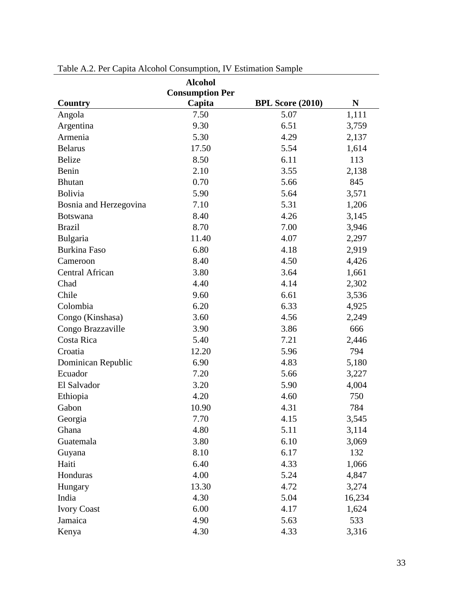|                        | <b>Alcohol</b><br><b>Consumption Per</b> |                         |        |
|------------------------|------------------------------------------|-------------------------|--------|
| Country                | Capita                                   | <b>BPL Score (2010)</b> | N      |
| Angola                 | 7.50                                     | 5.07                    | 1,111  |
| Argentina              | 9.30                                     | 6.51                    | 3,759  |
| Armenia                | 5.30                                     | 4.29                    | 2,137  |
| <b>Belarus</b>         | 17.50                                    | 5.54                    | 1,614  |
| <b>Belize</b>          | 8.50                                     | 6.11                    | 113    |
| Benin                  | 2.10                                     | 3.55                    | 2,138  |
| <b>Bhutan</b>          | 0.70                                     | 5.66                    | 845    |
| Bolivia                | 5.90                                     | 5.64                    | 3,571  |
| Bosnia and Herzegovina | 7.10                                     | 5.31                    | 1,206  |
| <b>Botswana</b>        | 8.40                                     | 4.26                    | 3,145  |
| <b>Brazil</b>          | 8.70                                     | 7.00                    | 3,946  |
| Bulgaria               | 11.40                                    | 4.07                    | 2,297  |
| <b>Burkina Faso</b>    | 6.80                                     | 4.18                    | 2,919  |
| Cameroon               | 8.40                                     | 4.50                    | 4,426  |
| <b>Central African</b> | 3.80                                     | 3.64                    | 1,661  |
| Chad                   | 4.40                                     | 4.14                    | 2,302  |
| Chile                  | 9.60                                     | 6.61                    | 3,536  |
| Colombia               | 6.20                                     | 6.33                    | 4,925  |
| Congo (Kinshasa)       | 3.60                                     | 4.56                    | 2,249  |
| Congo Brazzaville      | 3.90                                     | 3.86                    | 666    |
| Costa Rica             | 5.40                                     | 7.21                    | 2,446  |
| Croatia                | 12.20                                    | 5.96                    | 794    |
| Dominican Republic     | 6.90                                     | 4.83                    | 5,180  |
| Ecuador                | 7.20                                     | 5.66                    | 3,227  |
| El Salvador            | 3.20                                     | 5.90                    | 4,004  |
| Ethiopia               | 4.20                                     | 4.60                    | 750    |
| Gabon                  | 10.90                                    | 4.31                    | 784    |
| Georgia                | 7.70                                     | 4.15                    | 3,545  |
| Ghana                  | 4.80                                     | 5.11                    | 3,114  |
| Guatemala              | 3.80                                     | 6.10                    | 3,069  |
| Guyana                 | 8.10                                     | 6.17                    | 132    |
| Haiti                  | 6.40                                     | 4.33                    | 1,066  |
| Honduras               | 4.00                                     | 5.24                    | 4,847  |
| Hungary                | 13.30                                    | 4.72                    | 3,274  |
| India                  | 4.30                                     | 5.04                    | 16,234 |
| <b>Ivory Coast</b>     | 6.00                                     | 4.17                    | 1,624  |
| Jamaica                | 4.90                                     | 5.63                    | 533    |
| Kenya                  | 4.30                                     | 4.33                    | 3,316  |

Table A.2. Per Capita Alcohol Consumption, IV Estimation Sample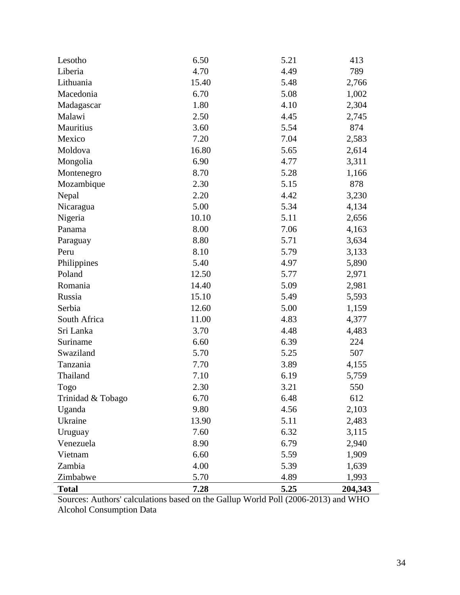| Lesotho           | 6.50  | 5.21 | 413     |
|-------------------|-------|------|---------|
| Liberia           | 4.70  | 4.49 | 789     |
| Lithuania         | 15.40 | 5.48 | 2,766   |
| Macedonia         | 6.70  | 5.08 | 1,002   |
| Madagascar        | 1.80  | 4.10 | 2,304   |
| Malawi            | 2.50  | 4.45 | 2,745   |
| Mauritius         | 3.60  | 5.54 | 874     |
| Mexico            | 7.20  | 7.04 | 2,583   |
| Moldova           | 16.80 | 5.65 | 2,614   |
| Mongolia          | 6.90  | 4.77 | 3,311   |
| Montenegro        | 8.70  | 5.28 | 1,166   |
| Mozambique        | 2.30  | 5.15 | 878     |
| Nepal             | 2.20  | 4.42 | 3,230   |
| Nicaragua         | 5.00  | 5.34 | 4,134   |
| Nigeria           | 10.10 | 5.11 | 2,656   |
| Panama            | 8.00  | 7.06 | 4,163   |
| Paraguay          | 8.80  | 5.71 | 3,634   |
| Peru              | 8.10  | 5.79 | 3,133   |
| Philippines       | 5.40  | 4.97 | 5,890   |
| Poland            | 12.50 | 5.77 | 2,971   |
| Romania           | 14.40 | 5.09 | 2,981   |
| Russia            | 15.10 | 5.49 | 5,593   |
| Serbia            | 12.60 | 5.00 | 1,159   |
| South Africa      | 11.00 | 4.83 | 4,377   |
| Sri Lanka         | 3.70  | 4.48 | 4,483   |
| Suriname          | 6.60  | 6.39 | 224     |
| Swaziland         | 5.70  | 5.25 | 507     |
| Tanzania          | 7.70  | 3.89 | 4,155   |
| Thailand          | 7.10  | 6.19 | 5,759   |
| Togo              | 2.30  | 3.21 | 550     |
| Trinidad & Tobago | 6.70  | 6.48 | 612     |
| Uganda            | 9.80  | 4.56 | 2,103   |
| Ukraine           | 13.90 | 5.11 | 2,483   |
| Uruguay           | 7.60  | 6.32 | 3,115   |
| Venezuela         | 8.90  | 6.79 | 2,940   |
| Vietnam           | 6.60  | 5.59 | 1,909   |
| Zambia            | 4.00  | 5.39 | 1,639   |
| Zimbabwe          | 5.70  | 4.89 | 1,993   |
| <b>Total</b>      | 7.28  | 5.25 | 204,343 |

Sources: Authors' calculations based on the Gallup World Poll (2006-2013) and WHO Alcohol Consumption Data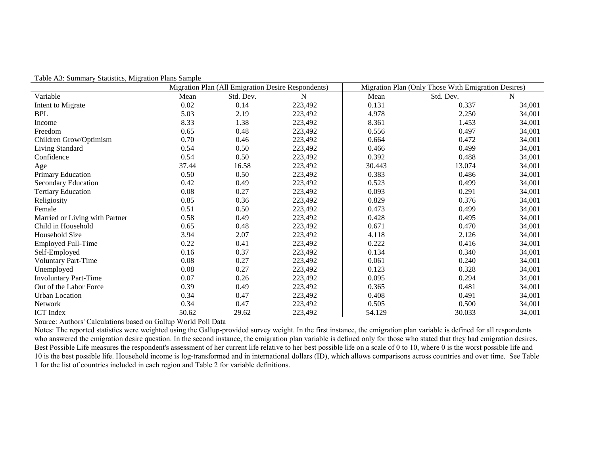|                                | Migration Plan (All Emigration Desire Respondents) |           |         | Migration Plan (Only Those With Emigration Desires) |           |        |  |
|--------------------------------|----------------------------------------------------|-----------|---------|-----------------------------------------------------|-----------|--------|--|
| Variable                       | Mean                                               | Std. Dev. | N       | Mean                                                | Std. Dev. | N      |  |
| Intent to Migrate              | 0.02                                               | 0.14      | 223,492 | 0.131                                               | 0.337     | 34,001 |  |
| <b>BPL</b>                     | 5.03                                               | 2.19      | 223,492 | 4.978                                               | 2.250     | 34,001 |  |
| Income                         | 8.33                                               | 1.38      | 223,492 | 8.361                                               | 1.453     | 34,001 |  |
| Freedom                        | 0.65                                               | 0.48      | 223,492 | 0.556                                               | 0.497     | 34,001 |  |
| Children Grow/Optimism         | 0.70                                               | 0.46      | 223,492 | 0.664                                               | 0.472     | 34,001 |  |
| Living Standard                | 0.54                                               | 0.50      | 223,492 | 0.466                                               | 0.499     | 34,001 |  |
| Confidence                     | 0.54                                               | 0.50      | 223,492 | 0.392                                               | 0.488     | 34,001 |  |
| Age                            | 37.44                                              | 16.58     | 223,492 | 30.443                                              | 13.074    | 34,001 |  |
| Primary Education              | 0.50                                               | 0.50      | 223,492 | 0.383                                               | 0.486     | 34,001 |  |
| <b>Secondary Education</b>     | 0.42                                               | 0.49      | 223,492 | 0.523                                               | 0.499     | 34,001 |  |
| <b>Tertiary Education</b>      | 0.08                                               | 0.27      | 223,492 | 0.093                                               | 0.291     | 34,001 |  |
| Religiosity                    | 0.85                                               | 0.36      | 223,492 | 0.829                                               | 0.376     | 34,001 |  |
| Female                         | 0.51                                               | 0.50      | 223,492 | 0.473                                               | 0.499     | 34,001 |  |
| Married or Living with Partner | 0.58                                               | 0.49      | 223,492 | 0.428                                               | 0.495     | 34,001 |  |
| Child in Household             | 0.65                                               | 0.48      | 223,492 | 0.671                                               | 0.470     | 34,001 |  |
| Household Size                 | 3.94                                               | 2.07      | 223,492 | 4.118                                               | 2.126     | 34,001 |  |
| <b>Employed Full-Time</b>      | 0.22                                               | 0.41      | 223,492 | 0.222                                               | 0.416     | 34,001 |  |
| Self-Employed                  | 0.16                                               | 0.37      | 223,492 | 0.134                                               | 0.340     | 34,001 |  |
| <b>Voluntary Part-Time</b>     | 0.08                                               | 0.27      | 223,492 | 0.061                                               | 0.240     | 34,001 |  |
| Unemployed                     | 0.08                                               | 0.27      | 223,492 | 0.123                                               | 0.328     | 34,001 |  |
| <b>Involuntary Part-Time</b>   | 0.07                                               | 0.26      | 223,492 | 0.095                                               | 0.294     | 34,001 |  |
| Out of the Labor Force         | 0.39                                               | 0.49      | 223,492 | 0.365                                               | 0.481     | 34,001 |  |
| <b>Urban Location</b>          | 0.34                                               | 0.47      | 223,492 | 0.408                                               | 0.491     | 34,001 |  |
| <b>Network</b>                 | 0.34                                               | 0.47      | 223,492 | 0.505                                               | 0.500     | 34,001 |  |
| <b>ICT</b> Index               | 50.62                                              | 29.62     | 223,492 | 54.129                                              | 30.033    | 34,001 |  |

Table A3: Summary Statistics, Migration Plans Sample

Source: Authors' Calculations based on Gallup World Poll Data

Notes: The reported statistics were weighted using the Gallup-provided survey weight. In the first instance, the emigration plan variable is defined for all respondents who answered the emigration desire question. In the second instance, the emigration plan variable is defined only for those who stated that they had emigration desires. Best Possible Life measures the respondent's assessment of her current life relative to her best possible life on a scale of 0 to 10, where 0 is the worst possible life and 10 is the best possible life. Household income is log-transformed and in international dollars (ID), which allows comparisons across countries and over time. See Table 1 for the list of countries included in each region and Table 2 for variable definitions.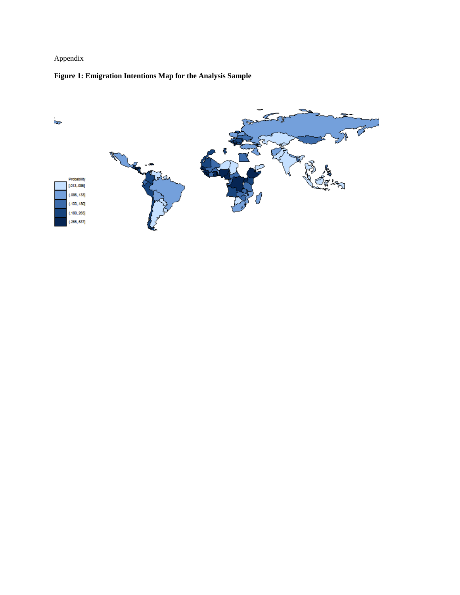# Appendix

# **Figure 1: Emigration Intentions Map for the Analysis Sample**

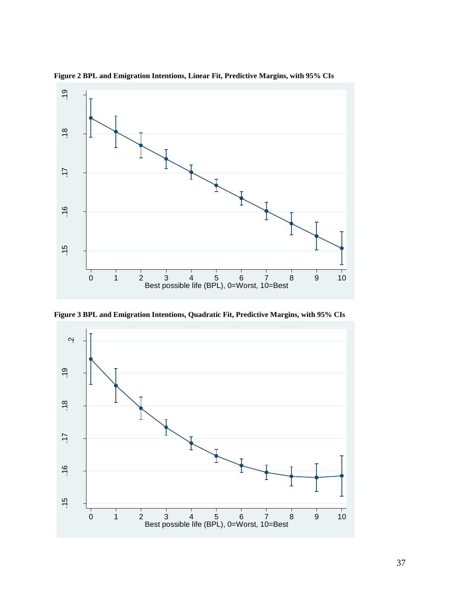

**Figure 2 BPL and Emigration Intentions, Linear Fit, Predictive Margins, with 95% CIs**

**Figure 3 BPL and Emigration Intentions, Quadratic Fit, Predictive Margins, with 95% CIs**

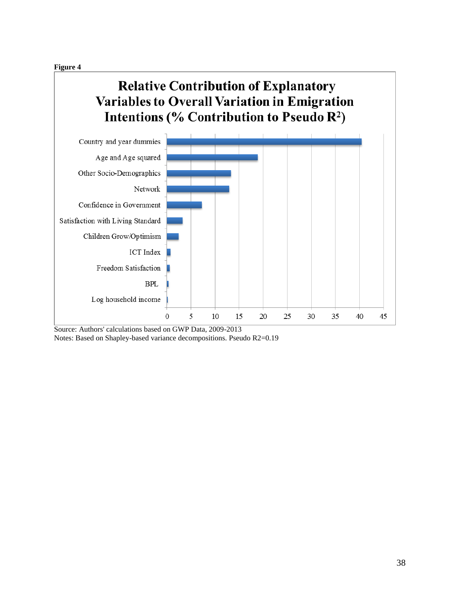**Figure 4**

# **Relative Contribution of Explanatory Variables to Overall Variation in Emigration** Intentions (% Contribution to Pseudo R<sup>2</sup>)



Source: Authors' calculations based on GWP Data, 2009-2013 Notes: Based on Shapley-based variance decompositions. Pseudo R2=0.19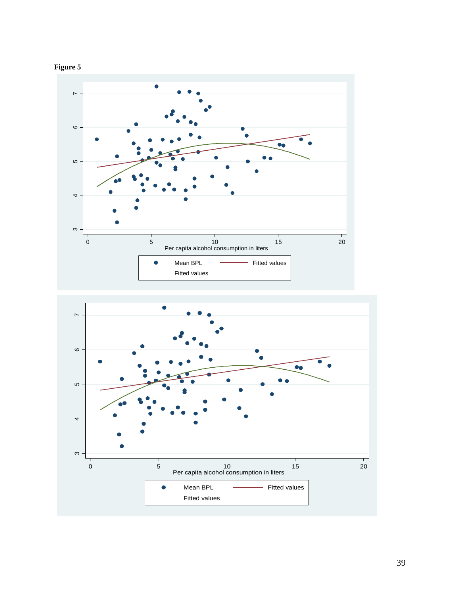



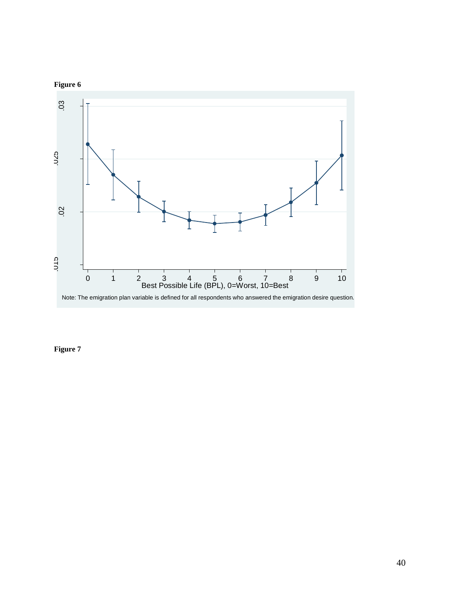

**Figure 7**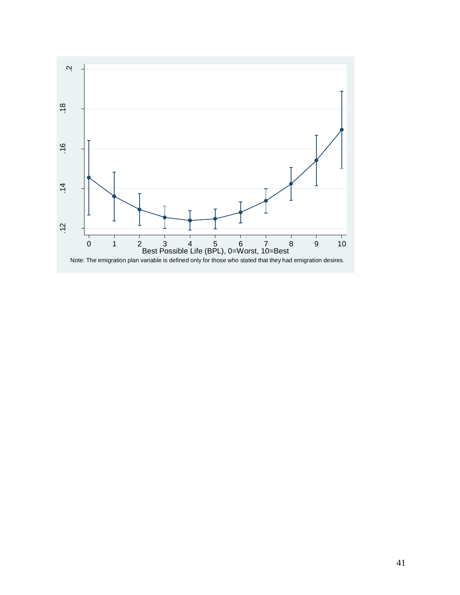